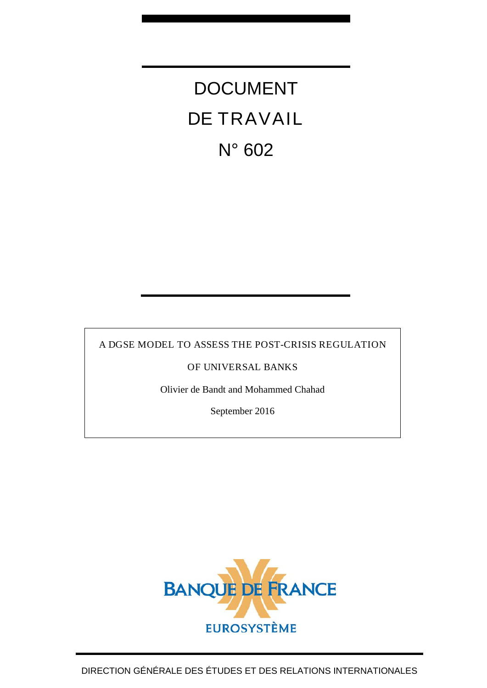DOCUMENT DE TRAVAIL N° 602

A DGSE MODEL TO ASSESS THE POST-CRISIS REGULATION

OF UNIVERSAL BANKS

Olivier de Bandt and Mohammed Chahad

September 2016

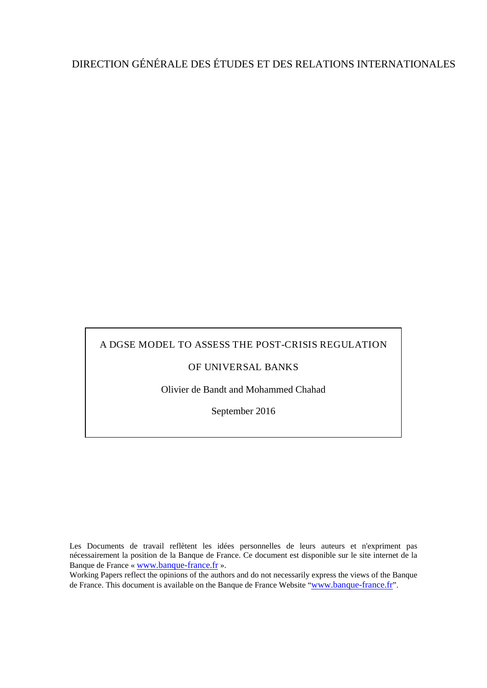# DIRECTION GÉNÉRALE DES ÉTUDES ET DES RELATIONS INTERNATIONALES

# A DGSE MODEL TO ASSESS THE POST-CRISIS REGULATION

# OF UNIVERSAL BANKS

Olivier de Bandt and Mohammed Chahad

September 2016

Les Documents de travail reflètent les idées personnelles de leurs auteurs et n'expriment pas nécessairement la position de la Banque de France. Ce document est disponible sur le site internet de la Banque de France « [www.banque-france.fr](http://www.banque-france.fr/) ».

Working Papers reflect the opinions of the authors and do not necessarily express the views of the Banque de France. This document is available on the Banque de France Website ["www.banque-france.fr"](http://www.banque-france.fr/).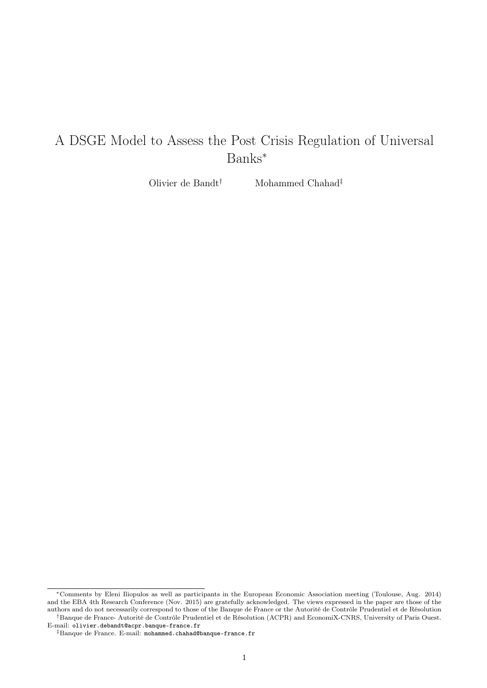# A DSGE Model to Assess the Post Crisis Regulation of Universal Banks<sup>∗</sup>

Olivier de Bandt† Mohammed Chahad‡

<sup>∗</sup>Comments by Eleni Iliopulos as well as participants in the European Economic Association meeting (Toulouse, Aug. 2014) and the EBA 4th Research Conference (Nov. 2015) are gratefully acknowledged. The views expressed in the paper are those of the authors and do not necessarily correspond to those of the Banque de France or the Autorité de Contrôle Prudentiel et de Résolution †Banque de France- Autorité de Contrôle Prudentiel et de Résolution (ACPR) and EconomiX-CNRS, University of Paris Ouest. E-mail: olivier.debandt@acpr.banque-france.fr

<sup>‡</sup>Banque de France. E-mail: mohammed.chahad@banque-france.fr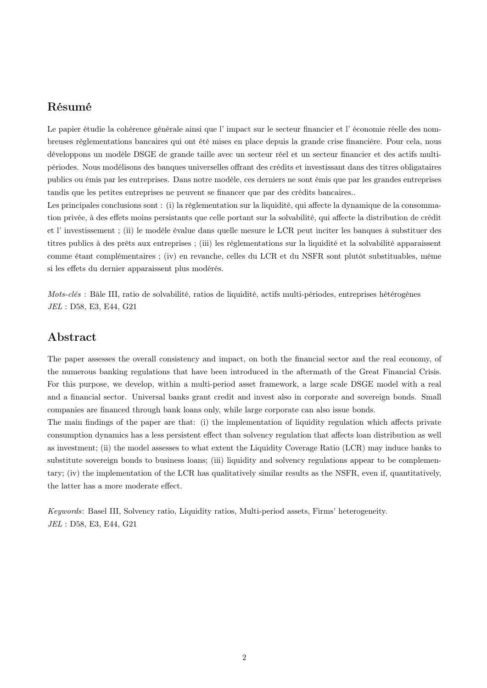# Résumé

Le papier étudie la cohérence générale ainsi que l' impact sur le secteur financier et l' économie réelle des nombreuses règlementations bancaires qui ont été mises en place depuis la grande crise financière. Pour cela, nous développons un modèle DSGE de grande taille avec un secteur réel et un secteur financier et des actifs multipériodes. Nous modélisons des banques universelles offrant des crédits et investissant dans des titres obligataires publics ou émis par les entreprises. Dans notre modèle, ces derniers ne sont émis que par les grandes entreprises tandis que les petites entreprises ne peuvent se financer que par des crédits bancaires..

Les principales conclusions sont : (i) la règlementation sur la liquidité, qui affecte la dynamique de la consommation privée, à des effets moins persistants que celle portant sur la solvabilité, qui affecte la distribution de crédit et l' investissement ; (ii) le modèle évalue dans quelle mesure le LCR peut inciter les banques à substituer des titres publics à des prêts aux entreprises ; (iii) les règlementations sur la liquidité et la solvabilité apparaissent comme étant complémentaires ; (iv) en revanche, celles du LCR et du NSFR sont plutôt substituables, même si les effets du dernier apparaissent plus modérés.

Mots-clés : Bâle III, ratio de solvabilité, ratios de liquidité, actifs multi-périodes, entreprises hétérogènes JEL : D58, E3, E44, G21

# Abstract

The paper assesses the overall consistency and impact, on both the financial sector and the real economy, of the numerous banking regulations that have been introduced in the aftermath of the Great Financial Crisis. For this purpose, we develop, within a multi-period asset framework, a large scale DSGE model with a real and a financial sector. Universal banks grant credit and invest also in corporate and sovereign bonds. Small companies are financed through bank loans only, while large corporate can also issue bonds.

The main findings of the paper are that: (i) the implementation of liquidity regulation which affects private consumption dynamics has a less persistent effect than solvency regulation that affects loan distribution as well as investment; (ii) the model assesses to what extent the Liquidity Coverage Ratio (LCR) may induce banks to substitute sovereign bonds to business loans; (iii) liquidity and solvency regulations appear to be complementary; (iv) the implementation of the LCR has qualitatively similar results as the NSFR, even if, quantitatively, the latter has a more moderate effect.

Keywords: Basel III, Solvency ratio, Liquidity ratios, Multi-period assets, Firms' heterogeneity. JEL : D58, E3, E44, G21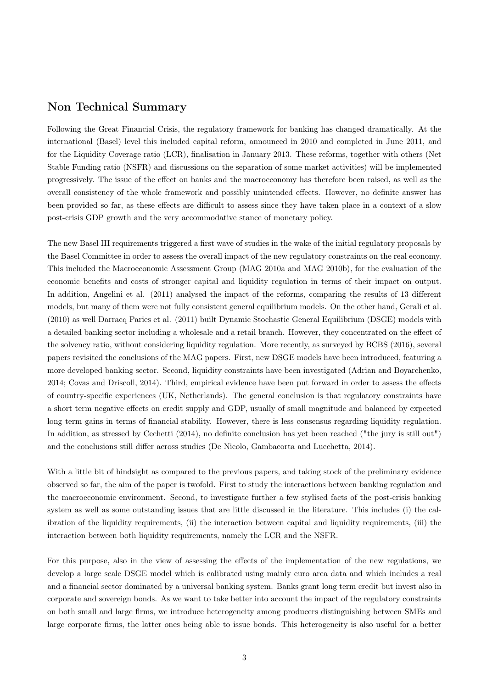## Non Technical Summary

Following the Great Financial Crisis, the regulatory framework for banking has changed dramatically. At the international (Basel) level this included capital reform, announced in 2010 and completed in June 2011, and for the Liquidity Coverage ratio (LCR), finalisation in January 2013. These reforms, together with others (Net Stable Funding ratio (NSFR) and discussions on the separation of some market activities) will be implemented progressively. The issue of the effect on banks and the macroeconomy has therefore been raised, as well as the overall consistency of the whole framework and possibly unintended effects. However, no definite answer has been provided so far, as these effects are difficult to assess since they have taken place in a context of a slow post-crisis GDP growth and the very accommodative stance of monetary policy.

The new Basel III requirements triggered a first wave of studies in the wake of the initial regulatory proposals by the Basel Committee in order to assess the overall impact of the new regulatory constraints on the real economy. This included the Macroeconomic Assessment Group (MAG 2010a and MAG 2010b), for the evaluation of the economic benefits and costs of stronger capital and liquidity regulation in terms of their impact on output. In addition, Angelini et al. (2011) analysed the impact of the reforms, comparing the results of 13 different models, but many of them were not fully consistent general equilibrium models. On the other hand, Gerali et al. (2010) as well Darracq Paries et al. (2011) built Dynamic Stochastic General Equilibrium (DSGE) models with a detailed banking sector including a wholesale and a retail branch. However, they concentrated on the effect of the solvency ratio, without considering liquidity regulation. More recently, as surveyed by BCBS (2016), several papers revisited the conclusions of the MAG papers. First, new DSGE models have been introduced, featuring a more developed banking sector. Second, liquidity constraints have been investigated (Adrian and Boyarchenko, 2014; Covas and Driscoll, 2014). Third, empirical evidence have been put forward in order to assess the effects of country-specific experiences (UK, Netherlands). The general conclusion is that regulatory constraints have a short term negative effects on credit supply and GDP, usually of small magnitude and balanced by expected long term gains in terms of financial stability. However, there is less consensus regarding liquidity regulation. In addition, as stressed by Cechetti (2014), no definite conclusion has yet been reached ("the jury is still out") and the conclusions still differ across studies (De Nicolo, Gambacorta and Lucchetta, 2014).

With a little bit of hindsight as compared to the previous papers, and taking stock of the preliminary evidence observed so far, the aim of the paper is twofold. First to study the interactions between banking regulation and the macroeconomic environment. Second, to investigate further a few stylised facts of the post-crisis banking system as well as some outstanding issues that are little discussed in the literature. This includes (i) the calibration of the liquidity requirements, (ii) the interaction between capital and liquidity requirements, (iii) the interaction between both liquidity requirements, namely the LCR and the NSFR.

For this purpose, also in the view of assessing the effects of the implementation of the new regulations, we develop a large scale DSGE model which is calibrated using mainly euro area data and which includes a real and a financial sector dominated by a universal banking system. Banks grant long term credit but invest also in corporate and sovereign bonds. As we want to take better into account the impact of the regulatory constraints on both small and large firms, we introduce heterogeneity among producers distinguishing between SMEs and large corporate firms, the latter ones being able to issue bonds. This heterogeneity is also useful for a better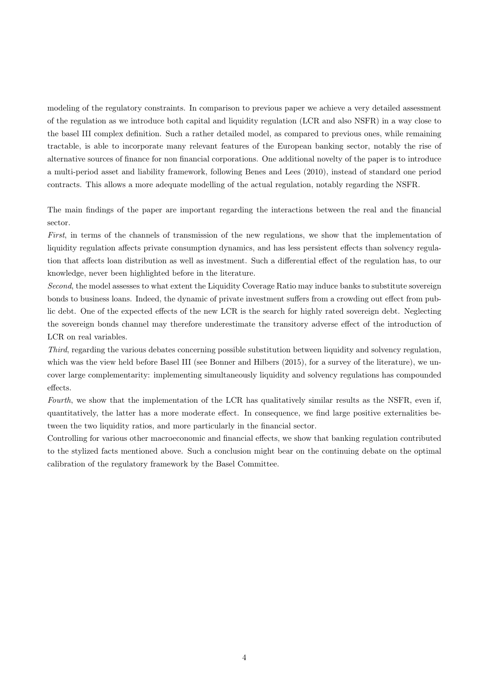modeling of the regulatory constraints. In comparison to previous paper we achieve a very detailed assessment of the regulation as we introduce both capital and liquidity regulation (LCR and also NSFR) in a way close to the basel III complex definition. Such a rather detailed model, as compared to previous ones, while remaining tractable, is able to incorporate many relevant features of the European banking sector, notably the rise of alternative sources of finance for non financial corporations. One additional novelty of the paper is to introduce a multi-period asset and liability framework, following Benes and Lees (2010), instead of standard one period contracts. This allows a more adequate modelling of the actual regulation, notably regarding the NSFR.

The main findings of the paper are important regarding the interactions between the real and the financial sector.

First, in terms of the channels of transmission of the new regulations, we show that the implementation of liquidity regulation affects private consumption dynamics, and has less persistent effects than solvency regulation that affects loan distribution as well as investment. Such a differential effect of the regulation has, to our knowledge, never been highlighted before in the literature.

Second, the model assesses to what extent the Liquidity Coverage Ratio may induce banks to substitute sovereign bonds to business loans. Indeed, the dynamic of private investment suffers from a crowding out effect from public debt. One of the expected effects of the new LCR is the search for highly rated sovereign debt. Neglecting the sovereign bonds channel may therefore underestimate the transitory adverse effect of the introduction of LCR on real variables.

Third, regarding the various debates concerning possible substitution between liquidity and solvency regulation, which was the view held before Basel III (see Bonner and Hilbers (2015), for a survey of the literature), we uncover large complementarity: implementing simultaneously liquidity and solvency regulations has compounded effects.

Fourth, we show that the implementation of the LCR has qualitatively similar results as the NSFR, even if, quantitatively, the latter has a more moderate effect. In consequence, we find large positive externalities between the two liquidity ratios, and more particularly in the financial sector.

Controlling for various other macroeconomic and financial effects, we show that banking regulation contributed to the stylized facts mentioned above. Such a conclusion might bear on the continuing debate on the optimal calibration of the regulatory framework by the Basel Committee.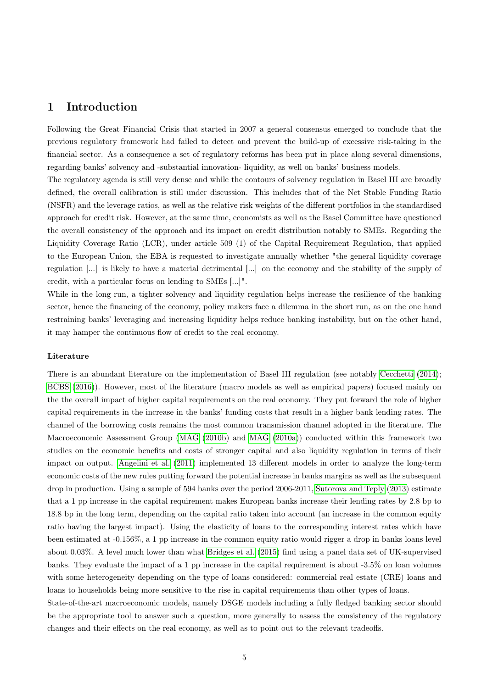# 1 Introduction

Following the Great Financial Crisis that started in 2007 a general consensus emerged to conclude that the previous regulatory framework had failed to detect and prevent the build-up of excessive risk-taking in the financial sector. As a consequence a set of regulatory reforms has been put in place along several dimensions, regarding banks' solvency and -substantial innovation- liquidity, as well on banks' business models.

The regulatory agenda is still very dense and while the contours of solvency regulation in Basel III are broadly defined, the overall calibration is still under discussion. This includes that of the Net Stable Funding Ratio (NSFR) and the leverage ratios, as well as the relative risk weights of the different portfolios in the standardised approach for credit risk. However, at the same time, economists as well as the Basel Committee have questioned the overall consistency of the approach and its impact on credit distribution notably to SMEs. Regarding the Liquidity Coverage Ratio (LCR), under article 509 (1) of the Capital Requirement Regulation, that applied to the European Union, the EBA is requested to investigate annually whether "the general liquidity coverage regulation [...] is likely to have a material detrimental [...] on the economy and the stability of the supply of credit, with a particular focus on lending to SMEs [...]".

While in the long run, a tighter solvency and liquidity regulation helps increase the resilience of the banking sector, hence the financing of the economy, policy makers face a dilemma in the short run, as on the one hand restraining banks' leveraging and increasing liquidity helps reduce banking instability, but on the other hand, it may hamper the continuous flow of credit to the real economy.

#### Literature

There is an abundant literature on the implementation of Basel III regulation (see notably [Cecchetti](#page-31-0) [\(2014\)](#page-31-0); [BCBS](#page-31-1) [\(2016\)](#page-31-1)). However, most of the literature (macro models as well as empirical papers) focused mainly on the the overall impact of higher capital requirements on the real economy. They put forward the role of higher capital requirements in the increase in the banks' funding costs that result in a higher bank lending rates. The channel of the borrowing costs remains the most common transmission channel adopted in the literature. The Macroeconomic Assessment Group [\(MAG](#page-32-0) [\(2010b\)](#page-32-0) and [MAG](#page-32-1) [\(2010a\)](#page-32-1)) conducted within this framework two studies on the economic benefits and costs of stronger capital and also liquidity regulation in terms of their impact on output. [Angelini et al.](#page-31-2) [\(2011\)](#page-31-2) implemented 13 different models in order to analyze the long-term economic costs of the new rules putting forward the potential increase in banks margins as well as the subsequent drop in production. Using a sample of 594 banks over the period 2006-2011, [Sutorova and Teply](#page-32-2) [\(2013\)](#page-32-2) estimate that a 1 pp increase in the capital requirement makes European banks increase their lending rates by 2.8 bp to 18.8 bp in the long term, depending on the capital ratio taken into account (an increase in the common equity ratio having the largest impact). Using the elasticity of loans to the corresponding interest rates which have been estimated at -0.156%, a 1 pp increase in the common equity ratio would rigger a drop in banks loans level about 0.03%. A level much lower than what [Bridges et al.](#page-31-3) [\(2015\)](#page-31-3) find using a panel data set of UK-supervised banks. They evaluate the impact of a 1 pp increase in the capital requirement is about -3.5% on loan volumes with some heterogeneity depending on the type of loans considered: commercial real estate (CRE) loans and loans to households being more sensitive to the rise in capital requirements than other types of loans.

State-of-the-art macroeconomic models, namely DSGE models including a fully fledged banking sector should be the appropriate tool to answer such a question, more generally to assess the consistency of the regulatory changes and their effects on the real economy, as well as to point out to the relevant tradeoffs.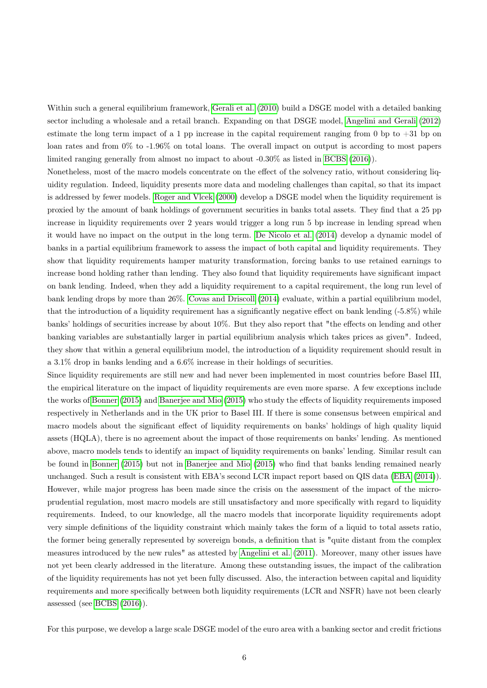Within such a general equilibrium framework, [Gerali et al.](#page-31-4) [\(2010\)](#page-31-4) build a DSGE model with a detailed banking sector including a wholesale and a retail branch. Expanding on that DSGE model, [Angelini and Gerali](#page-31-5) [\(2012\)](#page-31-5) estimate the long term impact of a 1 pp increase in the capital requirement ranging from 0 bp to +31 bp on loan rates and from 0% to -1.96% on total loans. The overall impact on output is according to most papers limited ranging generally from almost no impact to about -0.30% as listed in [BCBS](#page-31-1) [\(2016\)](#page-31-1)).

Nonetheless, most of the macro models concentrate on the effect of the solvency ratio, without considering liquidity regulation. Indeed, liquidity presents more data and modeling challenges than capital, so that its impact is addressed by fewer models. [Roger and Vlcek](#page-32-3) [\(2000\)](#page-32-3) develop a DSGE model when the liquidity requirement is proxied by the amount of bank holdings of government securities in banks total assets. They find that a 25 pp increase in liquidity requirements over 2 years would trigger a long run 5 bp increase in lending spread when it would have no impact on the output in the long term. [De Nicolo et al.](#page-31-6) [\(2014\)](#page-31-6) develop a dynamic model of banks in a partial equilibrium framework to assess the impact of both capital and liquidity requirements. They show that liquidity requirements hamper maturity transformation, forcing banks to use retained earnings to increase bond holding rather than lending. They also found that liquidity requirements have significant impact on bank lending. Indeed, when they add a liquidity requirement to a capital requirement, the long run level of bank lending drops by more than 26%. [Covas and Driscoll](#page-31-7) [\(2014\)](#page-31-7) evaluate, within a partial equilibrium model, that the introduction of a liquidity requirement has a significantly negative effect on bank lending (-5.8%) while banks' holdings of securities increase by about 10%. But they also report that "the effects on lending and other banking variables are substantially larger in partial equilibrium analysis which takes prices as given". Indeed, they show that within a general equilibrium model, the introduction of a liquidity requirement should result in a 3.1% drop in banks lending and a 6.6% increase in their holdings of securities.

Since liquidity requirements are still new and had never been implemented in most countries before Basel III, the empirical literature on the impact of liquidity requirements are even more sparse. A few exceptions include the works of [Bonner](#page-31-8) [\(2015\)](#page-31-8) and [Banerjee and Mio](#page-31-9) [\(2015\)](#page-31-9) who study the effects of liquidity requirements imposed respectively in Netherlands and in the UK prior to Basel III. If there is some consensus between empirical and macro models about the significant effect of liquidity requirements on banks' holdings of high quality liquid assets (HQLA), there is no agreement about the impact of those requirements on banks' lending. As mentioned above, macro models tends to identify an impact of liquidity requirements on banks' lending. Similar result can be found in [Bonner](#page-31-8) [\(2015\)](#page-31-8) but not in [Banerjee and Mio](#page-31-9) [\(2015\)](#page-31-9) who find that banks lending remained nearly unchanged. Such a result is consistent with EBA's second LCR impact report based on QIS data [\(EBA](#page-31-10) [\(2014\)](#page-31-10)). However, while major progress has been made since the crisis on the assessment of the impact of the microprudential regulation, most macro models are still unsatisfactory and more specifically with regard to liquidity requirements. Indeed, to our knowledge, all the macro models that incorporate liquidity requirements adopt very simple definitions of the liquidity constraint which mainly takes the form of a liquid to total assets ratio, the former being generally represented by sovereign bonds, a definition that is "quite distant from the complex measures introduced by the new rules" as attested by [Angelini et al.](#page-31-2) [\(2011\)](#page-31-2). Moreover, many other issues have not yet been clearly addressed in the literature. Among these outstanding issues, the impact of the calibration of the liquidity requirements has not yet been fully discussed. Also, the interaction between capital and liquidity requirements and more specifically between both liquidity requirements (LCR and NSFR) have not been clearly assessed (see [BCBS](#page-31-1) [\(2016\)](#page-31-1)).

For this purpose, we develop a large scale DSGE model of the euro area with a banking sector and credit frictions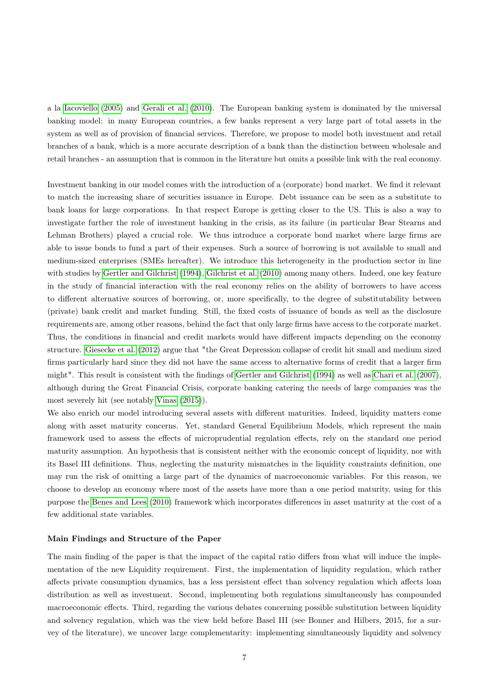a la [Iacoviello](#page-32-4) [\(2005\)](#page-32-4) and [Gerali et al.](#page-31-4) [\(2010\)](#page-31-4). The European banking system is dominated by the universal banking model: in many European countries, a few banks represent a very large part of total assets in the system as well as of provision of financial services. Therefore, we propose to model both investment and retail branches of a bank, which is a more accurate description of a bank than the distinction between wholesale and retail branches - an assumption that is common in the literature but omits a possible link with the real economy.

Investment banking in our model comes with the introduction of a (corporate) bond market. We find it relevant to match the increasing share of securities issuance in Europe. Debt issuance can be seen as a substitute to bank loans for large corporations. In that respect Europe is getting closer to the US. This is also a way to investigate further the role of investment banking in the crisis, as its failure (in particular Bear Stearns and Lehman Brothers) played a crucial role. We thus introduce a corporate bond market where large firms are able to issue bonds to fund a part of their expenses. Such a source of borrowing is not available to small and medium-sized enterprises (SMEs hereafter). We introduce this heterogeneity in the production sector in line with studies by [Gertler and Gilchrist](#page-32-5) [\(1994\)](#page-32-5), [Gilchrist et al.](#page-32-6) [\(2010\)](#page-32-6) among many others. Indeed, one key feature in the study of financial interaction with the real economy relies on the ability of borrowers to have access to different alternative sources of borrowing, or, more specifically, to the degree of substitutability between (private) bank credit and market funding. Still, the fixed costs of issuance of bonds as well as the disclosure requirements are, among other reasons, behind the fact that only large firms have access to the corporate market. Thus, the conditions in financial and credit markets would have different impacts depending on the economy structure. [Giesecke et al.](#page-32-7) [\(2012\)](#page-32-7) argue that "the Great Depression collapse of credit hit small and medium sized firms particularly hard since they did not have the same access to alternative forms of credit that a larger firm might". This result is consistent with the findings of [Gertler and Gilchrist](#page-32-5) [\(1994\)](#page-32-5) as well as [Chari et al.](#page-31-11) [\(2007\)](#page-31-11), although during the Great Financial Crisis, corporate banking catering the needs of large companies was the most severely hit (see notably [Vinas](#page-32-8) [\(2015\)](#page-32-8)).

We also enrich our model introducing several assets with different maturities. Indeed, liquidity matters come along with asset maturity concerns. Yet, standard General Equilibrium Models, which represent the main framework used to assess the effects of microprudential regulation effects, rely on the standard one period maturity assumption. An hypothesis that is consistent neither with the economic concept of liquidity, nor with its Basel III definitions. Thus, neglecting the maturity mismatches in the liquidity constraints definition, one may run the risk of omitting a large part of the dynamics of macroeconomic variables. For this reason, we choose to develop an economy where most of the assets have more than a one period maturity, using for this purpose the [Benes and Lees](#page-31-12) [\(2010\)](#page-31-12) framework which incorporates differences in asset maturity at the cost of a few additional state variables.

#### Main Findings and Structure of the Paper

The main finding of the paper is that the impact of the capital ratio differs from what will induce the implementation of the new Liquidity requirement. First, the implementation of liquidity regulation, which rather affects private consumption dynamics, has a less persistent effect than solvency regulation which affects loan distribution as well as investment. Second, implementing both regulations simultaneously has compounded macroeconomic effects. Third, regarding the various debates concerning possible substitution between liquidity and solvency regulation, which was the view held before Basel III (see Bonner and Hilbers, 2015, for a survey of the literature), we uncover large complementarity: implementing simultaneously liquidity and solvency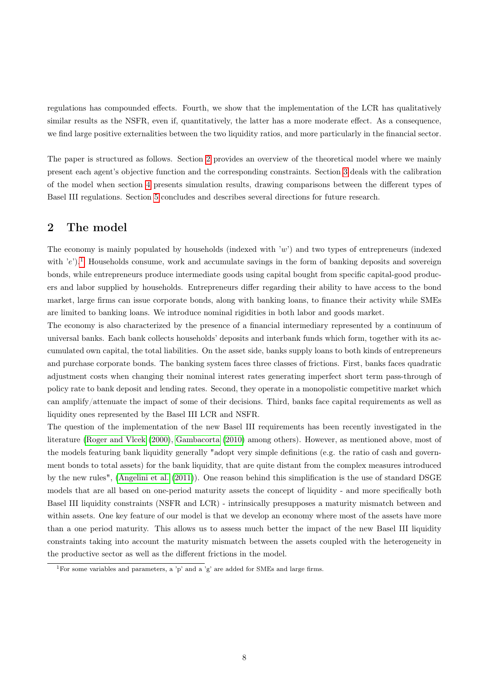regulations has compounded effects. Fourth, we show that the implementation of the LCR has qualitatively similar results as the NSFR, even if, quantitatively, the latter has a more moderate effect. As a consequence, we find large positive externalities between the two liquidity ratios, and more particularly in the financial sector.

The paper is structured as follows. Section [2](#page-9-0) provides an overview of the theoretical model where we mainly present each agent's objective function and the corresponding constraints. Section [3](#page-21-0) deals with the calibration of the model when section [4](#page-22-0) presents simulation results, drawing comparisons between the different types of Basel III regulations. Section [5](#page-30-0) concludes and describes several directions for future research.

## <span id="page-9-0"></span>2 The model

The economy is mainly populated by households (indexed with  $w'$ ) and two types of entrepreneurs (indexed with  $'e$ ).<sup>[1](#page-9-1)</sup> Households consume, work and accumulate savings in the form of banking deposits and sovereign bonds, while entrepreneurs produce intermediate goods using capital bought from specific capital-good producers and labor supplied by households. Entrepreneurs differ regarding their ability to have access to the bond market, large firms can issue corporate bonds, along with banking loans, to finance their activity while SMEs are limited to banking loans. We introduce nominal rigidities in both labor and goods market.

The economy is also characterized by the presence of a financial intermediary represented by a continuum of universal banks. Each bank collects households' deposits and interbank funds which form, together with its accumulated own capital, the total liabilities. On the asset side, banks supply loans to both kinds of entrepreneurs and purchase corporate bonds. The banking system faces three classes of frictions. First, banks faces quadratic adjustment costs when changing their nominal interest rates generating imperfect short term pass-through of policy rate to bank deposit and lending rates. Second, they operate in a monopolistic competitive market which can amplify/attenuate the impact of some of their decisions. Third, banks face capital requirements as well as liquidity ones represented by the Basel III LCR and NSFR.

The question of the implementation of the new Basel III requirements has been recently investigated in the literature [\(Roger and Vlcek](#page-32-3) [\(2000\)](#page-32-3), [Gambacorta](#page-31-13) [\(2010\)](#page-31-13) among others). However, as mentioned above, most of the models featuring bank liquidity generally "adopt very simple definitions (e.g. the ratio of cash and government bonds to total assets) for the bank liquidity, that are quite distant from the complex measures introduced by the new rules", [\(Angelini et al.](#page-31-2) [\(2011\)](#page-31-2)). One reason behind this simplification is the use of standard DSGE models that are all based on one-period maturity assets the concept of liquidity - and more specifically both Basel III liquidity constraints (NSFR and LCR) - intrinsically presupposes a maturity mismatch between and within assets. One key feature of our model is that we develop an economy where most of the assets have more than a one period maturity. This allows us to assess much better the impact of the new Basel III liquidity constraints taking into account the maturity mismatch between the assets coupled with the heterogeneity in the productive sector as well as the different frictions in the model.

<span id="page-9-1"></span><sup>&</sup>lt;sup>1</sup>For some variables and parameters, a 'p' and a 'g' are added for SMEs and large firms.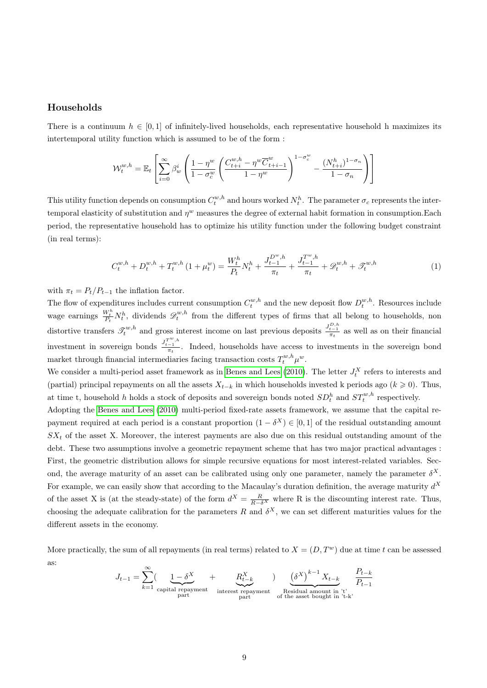## Households

There is a continuum  $h \in [0, 1]$  of infinitely-lived households, each representative household h maximizes its intertemporal utility function which is assumed to be of the form :

$$
\mathcal{W}_t^{w,h} = \mathbb{E}_t \left[ \sum_{i=0}^{\infty} \beta_w^i \left( \frac{1 - \eta^w}{1 - \sigma_c^w} \left( \frac{C_{t+i}^{w,h} - \eta^w \overline{C}_{t+i-1}^w}{1 - \eta^w} \right)^{1 - \sigma_c^w} - \frac{(N_{t+i}^h)^{1 - \sigma_n}}{1 - \sigma_n} \right) \right]
$$

This utility function depends on consumption  $C_t^{w,h}$  and hours worked  $N_t^h$ . The parameter  $\sigma_c$  represents the intertemporal elasticity of substitution and  $\eta^w$  measures the degree of external habit formation in consumption.Each period, the representative household has to optimize his utility function under the following budget constraint (in real terms):

$$
C_t^{w,h} + D_t^{w,h} + T_t^{w,h} \left(1 + \mu_t^w\right) = \frac{W_t^h}{P_t} N_t^h + \frac{J_{t-1}^{D^w,h}}{\pi_t} + \frac{J_{t-1}^{T^w,h}}{\pi_t} + \mathcal{D}_t^{w,h} + \mathcal{F}_t^{w,h} \tag{1}
$$

with  $\pi_t = P_t/P_{t-1}$  the inflation factor.

The flow of expenditures includes current consumption  $C_t^{w,h}$  and the new deposit flow  $D_t^{w,h}$ . Resources include wage earnings  $\frac{W_t^h}{P_t} N_t^h$ , dividends  $\mathscr{D}_t^{w,h}$  from the different types of firms that all belong to households, non distortive transfers  $\mathcal{T}_{t}^{w,h}$  and gross interest income on last previous deposits  $\frac{J_{t-1}^{D,h}}{\pi_t}$  as well as on their financial investment in sovereign bonds  $\frac{J_{t-1}^{T^w,h}}{\pi_t}$ . Indeed, households have access to investments in the sovereign bond market through financial intermediaries facing transaction costs  $T_t^{w,h} \mu^w$ .

We consider a multi-period asset framework as in [Benes and Lees](#page-31-12) [\(2010\)](#page-31-12). The letter  $J_t^X$  refers to interests and (partial) principal repayments on all the assets  $X_{t-k}$  in which households invested k periods ago  $(k \ge 0)$ . Thus, at time t, household h holds a stock of deposits and sovereign bonds noted  $SD_t^h$  and  $ST_t^{w,h}$  respectively.

Adopting the [Benes and Lees](#page-31-12) [\(2010\)](#page-31-12) multi-period fixed-rate assets framework, we assume that the capital repayment required at each period is a constant proportion  $(1 - \delta^X) \in [0, 1]$  of the residual outstanding amount  $SX_t$  of the asset X. Moreover, the interest payments are also due on this residual outstanding amount of the debt. These two assumptions involve a geometric repayment scheme that has two major practical advantages : First, the geometric distribution allows for simple recursive equations for most interest-related variables. Second, the average maturity of an asset can be calibrated using only one parameter, namely the parameter  $\delta^X$ . For example, we can easily show that according to the Macaulay's duration definition, the average maturity  $d^X$ of the asset X is (at the steady-state) of the form  $d^X = \frac{R}{R-\delta^X}$  where R is the discounting interest rate. Thus, choosing the adequate calibration for the parameters R and  $\delta^X$ , we can set different maturities values for the different assets in the economy.

More practically, the sum of all repayments (in real terms) related to  $X = (D, T<sup>w</sup>)$  due at time t can be assessed as:  $\infty$ 

$$
J_{t-1} = \sum_{k=1}^{\infty} \left( \underbrace{1-\delta^X}_{\text{capital repayment}} + \underbrace{R_{t-k}^X}_{\text{interest repayment}} \right)_{\text{Residual amount in 't'}} \underbrace{\left(\delta^X\right)^{k-1} X_{t-k}}_{\text{Residual amount in 't'}} \underbrace{P_{t-k}}_{P_{t-1}}
$$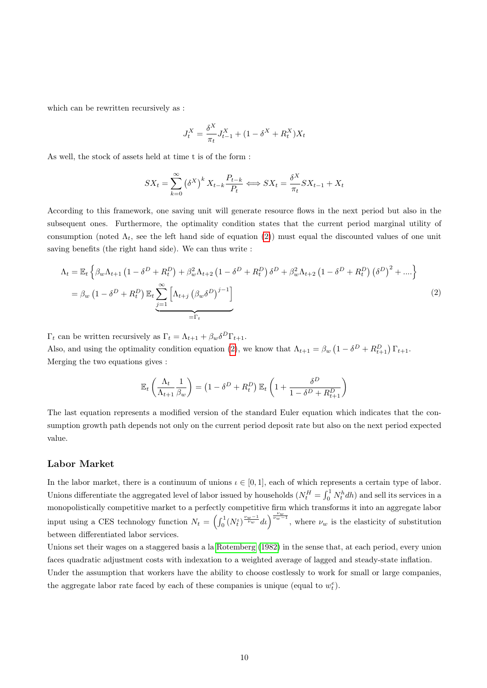which can be rewritten recursively as :

$$
J_t^X = \frac{\delta^X}{\pi_t} J_{t-1}^X + (1 - \delta^X + R_t^X) X_t
$$

As well, the stock of assets held at time t is of the form :

$$
SX_t = \sum_{k=0}^{\infty} (\delta^X)^k X_{t-k} \frac{P_{t-k}}{P_t} \Longleftrightarrow SX_t = \frac{\delta^X}{\pi_t} SX_{t-1} + X_t
$$

According to this framework, one saving unit will generate resource flows in the next period but also in the subsequent ones. Furthermore, the optimality condition states that the current period marginal utility of consumption (noted  $\Lambda_t$ , see the left hand side of equation [\(2\)](#page-11-0)) must equal the discounted values of one unit saving benefits (the right hand side). We can thus write :

<span id="page-11-0"></span>
$$
\Lambda_t = \mathbb{E}_t \left\{ \beta_w \Lambda_{t+1} \left( 1 - \delta^D + R_t^D \right) + \beta_w^2 \Lambda_{t+2} \left( 1 - \delta^D + R_t^D \right) \delta^D + \beta_w^2 \Lambda_{t+2} \left( 1 - \delta^D + R_t^D \right) \left( \delta^D \right)^2 + \dots \right\}
$$
\n
$$
= \beta_w \left( 1 - \delta^D + R_t^D \right) \mathbb{E}_t \underbrace{\sum_{j=1}^{\infty} \left[ \Lambda_{t+j} \left( \beta_w \delta^D \right)^{j-1} \right]}_{= \Gamma_t}
$$
\n
$$
(2)
$$

 $\Gamma_t$  can be written recursively as  $\Gamma_t = \Lambda_{t+1} + \beta_w \delta^D \Gamma_{t+1}$ .

Also, and using the optimality condition equation [\(2\)](#page-11-0), we know that  $\Lambda_{t+1} = \beta_w \left(1 - \delta^D + R_{t+1}^D\right) \Gamma_{t+1}$ . Merging the two equations gives :

$$
\mathbb{E}_t\left(\frac{\Lambda_t}{\Lambda_{t+1}}\frac{1}{\beta_w}\right) = \left(1 - \delta^D + R_t^D\right)\mathbb{E}_t\left(1 + \frac{\delta^D}{1 - \delta^D + R_{t+1}^D}\right)
$$

The last equation represents a modified version of the standard Euler equation which indicates that the consumption growth path depends not only on the current period deposit rate but also on the next period expected value.

## Labor Market

In the labor market, there is a continuum of unions  $\iota \in [0,1]$ , each of which represents a certain type of labor. Unions differentiate the aggregated level of labor issued by households  $(N_t^H = \int_0^1 N_t^h dh)$  and sell its services in a monopolistically competitive market to a perfectly competitive firm which transforms it into an aggregate labor input using a CES technology function  $N_t = \left(\int_0^1 (N_t^{\nu})^{\frac{\nu_w-1}{\nu_w}} dt\right)^{\frac{\nu_w}{\nu_w-1}}$ , where  $\nu_w$  is the elasticity of substitution between differentiated labor services.

Unions set their wages on a staggered basis a la [Rotemberg](#page-32-9) [\(1982\)](#page-32-9) in the sense that, at each period, every union faces quadratic adjustment costs with indexation to a weighted average of lagged and steady-state inflation.

Under the assumption that workers have the ability to choose costlessly to work for small or large companies, the aggregate labor rate faced by each of these companies is unique (equal to  $w_t^e$ ).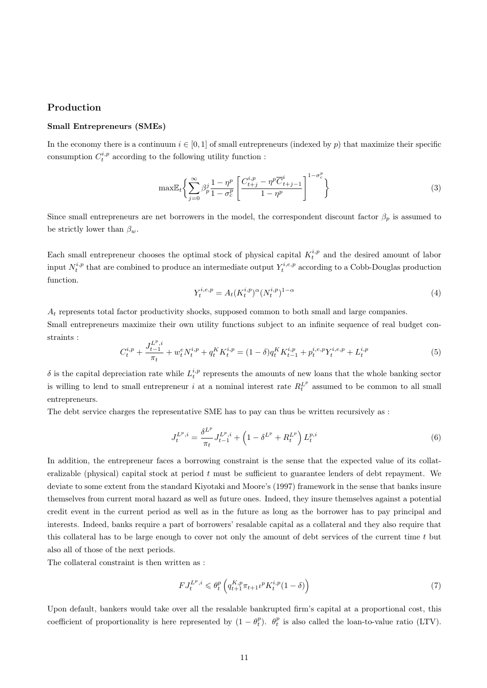## Production

#### Small Entrepreneurs (SMEs)

In the economy there is a continuum  $i \in [0,1]$  of small entrepreneurs (indexed by p) that maximize their specific consumption  $C_t^{i,p}$  according to the following utility function :

$$
\max \mathbb{E}_{t} \left\{ \sum_{j=0}^{\infty} \beta_{p}^{j} \frac{1-\eta^{p}}{1-\sigma_{c}^{p}} \left[ \frac{C_{t+j}^{i,p} - \eta^{p} \overline{C}_{t+j-1}^{i}}{1-\eta^{p}} \right]^{1-\sigma_{c}^{p}} \right\}
$$
(3)

Since small entrepreneurs are net borrowers in the model, the correspondent discount factor  $\beta_p$  is assumed to be strictly lower than  $\beta_w$ .

Each small entrepreneur chooses the optimal stock of physical capital  $K_t^{i,p}$  and the desired amount of labor input  $N_t^{i,p}$  that are combined to produce an intermediate output  $Y_t^{i,e,p}$  according to a Cobb-Douglas production function.

<span id="page-12-0"></span>
$$
Y_t^{i,e,p} = A_t (K_t^{i,p})^{\alpha} (N_t^{i,p})^{1-\alpha} \tag{4}
$$

 $A_t$  represents total factor productivity shocks, supposed common to both small and large companies. Small entrepreneurs maximize their own utility functions subject to an infinite sequence of real budget constraints :

$$
C_t^{i,p} + \frac{J_{t-1}^{L^p,i}}{\pi_t} + w_t^e N_t^{i,p} + q_t^K K_t^{i,p} = (1 - \delta) q_t^K K_{t-1}^{i,p} + p_t^{i,e,p} Y_t^{i,e,p} + L_t^{i,p}
$$
(5)

 $\delta$  is the capital depreciation rate while  $L_t^{i,p}$  represents the amounts of new loans that the whole banking sector is willing to lend to small entrepreneur i at a nominal interest rate  $R_t^{L^p}$  assumed to be common to all small entrepreneurs.

The debt service charges the representative SME has to pay can thus be written recursively as :

$$
J_t^{L^p,i} = \frac{\delta^{L^p}}{\pi_t} J_{t-1}^{L^p,i} + \left(1 - \delta^{L^p} + R_t^{L^p}\right) L_t^{p,i}
$$
\n(6)

In addition, the entrepreneur faces a borrowing constraint is the sense that the expected value of its collateralizable (physical) capital stock at period t must be sufficient to guarantee lenders of debt repayment. We deviate to some extent from the standard Kiyotaki and Moore's (1997) framework in the sense that banks insure themselves from current moral hazard as well as future ones. Indeed, they insure themselves against a potential credit event in the current period as well as in the future as long as the borrower has to pay principal and interests. Indeed, banks require a part of borrowers' resalable capital as a collateral and they also require that this collateral has to be large enough to cover not only the amount of debt services of the current time t but also all of those of the next periods.

The collateral constraint is then written as :

<span id="page-12-1"></span>
$$
FJ_t^{L^p,i} \leq \theta_t^p \left( q_{t+1}^{K,p} \pi_{t+1} t^p K_t^{i,p} (1 - \delta) \right) \tag{7}
$$

Upon default, bankers would take over all the resalable bankrupted firm's capital at a proportional cost, this coefficient of proportionality is here represented by  $(1 - \theta_t^p)$ .  $\theta_t^p$  is also called the loan-to-value ratio (LTV).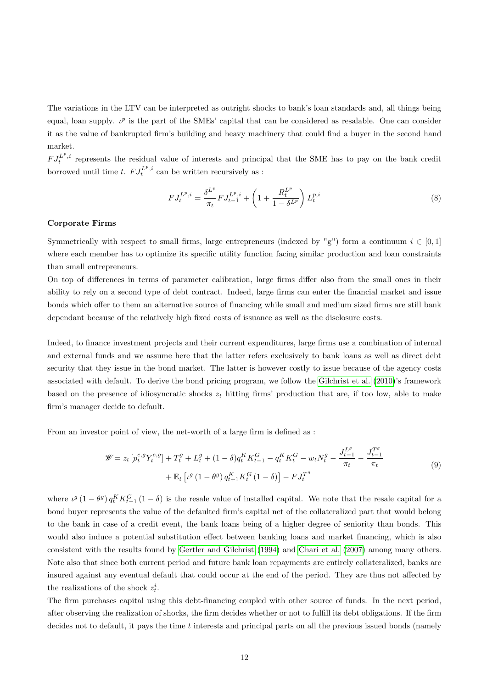The variations in the LTV can be interpreted as outright shocks to bank's loan standards and, all things being equal, loan supply.  $\iota^p$  is the part of the SMEs' capital that can be considered as resalable. One can consider it as the value of bankrupted firm's building and heavy machinery that could find a buyer in the second hand market.

 $FJ_t^{L^p,i}$  represents the residual value of interests and principal that the SME has to pay on the bank credit borrowed until time t.  $FJ_t^{L^p,i}$  can be written recursively as :

$$
FJ_t^{L^p,i} = \frac{\delta^{L^p}}{\pi_t} FJ_{t-1}^{L^p,i} + \left(1 + \frac{R_t^{L^p}}{1 - \delta^{L^p}}\right) L_t^{p,i}
$$
\n(8)

#### Corporate Firms

Symmetrically with respect to small firms, large entrepreneurs (indexed by "g") form a continuum  $i \in [0, 1]$ where each member has to optimize its specific utility function facing similar production and loan constraints than small entrepreneurs.

On top of differences in terms of parameter calibration, large firms differ also from the small ones in their ability to rely on a second type of debt contract. Indeed, large firms can enter the financial market and issue bonds which offer to them an alternative source of financing while small and medium sized firms are still bank dependant because of the relatively high fixed costs of issuance as well as the disclosure costs.

Indeed, to finance investment projects and their current expenditures, large firms use a combination of internal and external funds and we assume here that the latter refers exclusively to bank loans as well as direct debt security that they issue in the bond market. The latter is however costly to issue because of the agency costs associated with default. To derive the bond pricing program, we follow the [Gilchrist et al.](#page-32-6) [\(2010\)](#page-32-6)'s framework based on the presence of idiosyncratic shocks  $z_t$  hitting firms' production that are, if too low, able to make firm's manager decide to default.

From an investor point of view, the net-worth of a large firm is defined as :

$$
\mathcal{W} = z_t \left[ p_t^{e,g} Y_t^{e,g} \right] + T_t^g + L_t^g + (1 - \delta) q_t^K K_{t-1}^G - q_t^K K_t^G - w_t N_t^g - \frac{J_{t-1}^{L^g}}{\pi_t} - \frac{J_{t-1}^{T^g}}{\pi_t} + \mathbb{E}_t \left[ \iota^g (1 - \theta^g) q_{t+1}^K K_t^G (1 - \delta) \right] - F J_t^{T^g}
$$
\n
$$
(9)
$$

where  $\iota^g(1-\theta^g)q_t^K K_{t-1}^G(1-\delta)$  is the resale value of installed capital. We note that the resale capital for a bond buyer represents the value of the defaulted firm's capital net of the collateralized part that would belong to the bank in case of a credit event, the bank loans being of a higher degree of seniority than bonds. This would also induce a potential substitution effect between banking loans and market financing, which is also consistent with the results found by [Gertler and Gilchrist](#page-32-5) [\(1994\)](#page-32-5) and [Chari et al.](#page-31-11) [\(2007\)](#page-31-11) among many others. Note also that since both current period and future bank loan repayments are entirely collateralized, banks are insured against any eventual default that could occur at the end of the period. They are thus not affected by the realizations of the shock  $z_t^i$ .

The firm purchases capital using this debt-financing coupled with other source of funds. In the next period, after observing the realization of shocks, the firm decides whether or not to fulfill its debt obligations. If the firm decides not to default, it pays the time  $t$  interests and principal parts on all the previous issued bonds (namely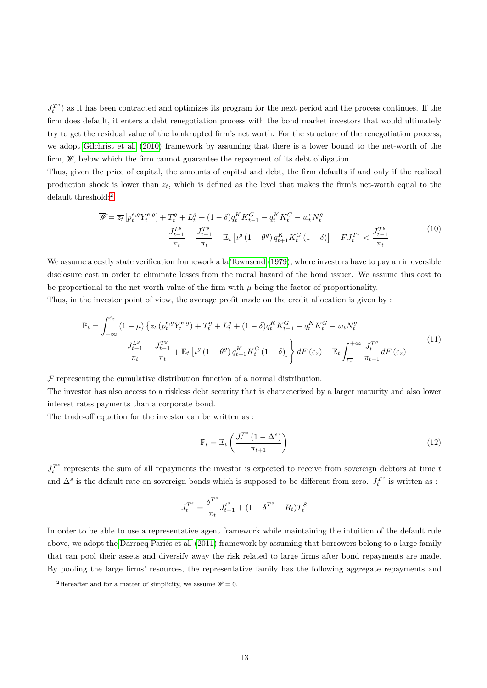$J_t^{T^g}$ ) as it has been contracted and optimizes its program for the next period and the process continues. If the firm does default, it enters a debt renegotiation process with the bond market investors that would ultimately try to get the residual value of the bankrupted firm's net worth. For the structure of the renegotiation process, we adopt [Gilchrist et al.](#page-32-6) [\(2010\)](#page-32-6) framework by assuming that there is a lower bound to the net-worth of the firm,  $\mathcal{W}$ , below which the firm cannot guarantee the repayment of its debt obligation.

Thus, given the price of capital, the amounts of capital and debt, the firm defaults if and only if the realized production shock is lower than  $\overline{z_t}$ , which is defined as the level that makes the firm's net-worth equal to the default threshold:<sup>[2](#page-14-0)</sup>

$$
\overline{\mathscr{W}} = \overline{z_t} \left[ p_t^{e,g} Y_t^{e,g} \right] + T_t^g + L_t^g + (1 - \delta) q_t^K K_{t-1}^G - q_t^K K_t^G - w_t^e N_t^g
$$
\n
$$
- \frac{J_{t-1}^{L^g}}{\pi_t} - \frac{J_{t-1}^{T^g}}{\pi_t} + \mathbb{E}_t \left[ \iota^g (1 - \theta^g) q_{t+1}^K K_t^G (1 - \delta) \right] - F J_t^{T^g} < \frac{J_{t-1}^{T^g}}{\pi_t} \tag{10}
$$

We assume a costly state verification framework a la [Townsend](#page-32-10) [\(1979\)](#page-32-10), where investors have to pay an irreversible disclosure cost in order to eliminate losses from the moral hazard of the bond issuer. We assume this cost to be proportional to the net worth value of the firm with  $\mu$  being the factor of proportionality.

Thus, in the investor point of view, the average profit made on the credit allocation is given by :

$$
\mathbb{P}_{t} = \int_{-\infty}^{\overline{\epsilon_{z}}} (1 - \mu) \left\{ z_{t} \left( p_{t}^{e,g} Y_{t}^{e,g} \right) + T_{t}^{g} + L_{t}^{g} + (1 - \delta) q_{t}^{K} K_{t-1}^{G} - q_{t}^{K} K_{t}^{G} - w_{t} N_{t}^{g} - \frac{J_{t-1}^{L^{g}}}{\pi_{t}} - \frac{J_{t-1}^{L^{g}}}{\pi_{t}} - \frac{J_{t-1}^{T^{g}}}{\pi_{t}} + \mathbb{E}_{t} \left[ \iota^{g} \left( 1 - \theta^{g} \right) q_{t+1}^{K} K_{t}^{G} \left( 1 - \delta \right) \right] \right\} dF \left( \epsilon_{z} \right) + \mathbb{E}_{t} \int_{\overline{\epsilon_{z}}}^{+\infty} \frac{J_{t}^{T^{g}}}{\pi_{t+1}} dF \left( \epsilon_{z} \right)
$$
\n
$$
(11)
$$

 $F$  representing the cumulative distribution function of a normal distribution.

The investor has also access to a riskless debt security that is characterized by a larger maturity and also lower interest rates payments than a corporate bond.

The trade-off equation for the investor can be written as :

$$
\mathbb{P}_t = \mathbb{E}_t \left( \frac{J_t^{T^s} \left( 1 - \Delta^s \right)}{\pi_{t+1}} \right) \tag{12}
$$

 $J_t^{T^s}$  represents the sum of all repayments the investor is expected to receive from sovereign debtors at time t and  $\Delta^s$  is the default rate on sovereign bonds which is supposed to be different from zero.  $J_t^{T^s}$  is written as :

$$
J_t^{T^s} = \frac{\delta^{T^s}}{\pi_t} J_{t-1}^t + (1 - \delta^{T^s} + R_t) T_t^S
$$

In order to be able to use a representative agent framework while maintaining the intuition of the default rule above, we adopt the [Darracq Pariès et al.](#page-31-14) [\(2011\)](#page-31-14) framework by assuming that borrowers belong to a large family that can pool their assets and diversify away the risk related to large firms after bond repayments are made. By pooling the large firms' resources, the representative family has the following aggregate repayments and

<span id="page-14-0"></span><sup>&</sup>lt;sup>2</sup>Hereafter and for a matter of simplicity, we assume  $\overline{\mathscr{W}}=0$ .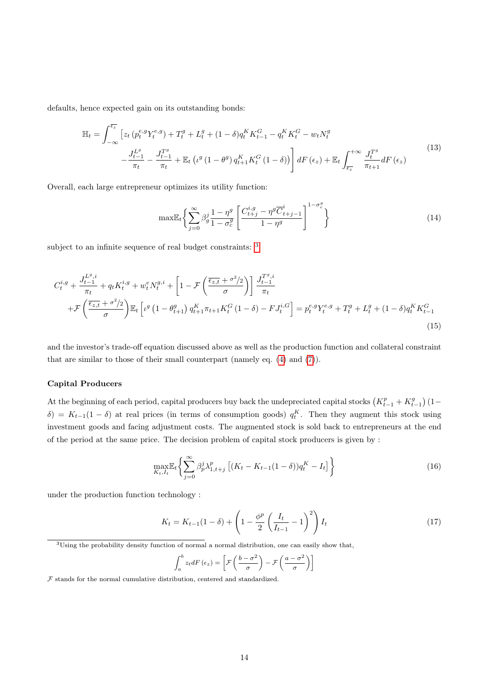defaults, hence expected gain on its outstanding bonds:

$$
\mathbb{H}_{t} = \int_{-\infty}^{\overline{\epsilon_{z}}} \left[ z_{t} \left( p_{t}^{e,g} Y_{t}^{e,g} \right) + T_{t}^{g} + L_{t}^{g} + (1 - \delta) q_{t}^{K} K_{t-1}^{G} - q_{t}^{K} K_{t}^{G} - w_{t} N_{t}^{g} \right. \right. \\
\left. - \frac{J_{t-1}^{L^{g}}}{\pi_{t}} - \frac{J_{t-1}^{T^{g}}}{\pi_{t}} + \mathbb{E}_{t} \left( \iota^{g} \left( 1 - \theta^{g} \right) q_{t+1}^{K} K_{t}^{G} \left( 1 - \delta \right) \right) \right] dF \left( \epsilon_{z} \right) + \mathbb{E}_{t} \int_{\overline{\epsilon_{z}}}^{+\infty} \frac{J_{t}^{T^{g}}}{\pi_{t+1}} dF \left( \epsilon_{z} \right) \tag{13}
$$

Overall, each large entrepreneur optimizes its utility function:

$$
\max \mathbb{E}_{t} \left\{ \sum_{j=0}^{\infty} \beta_{g}^{j} \frac{1 - \eta^{g}}{1 - \sigma_{c}^{g}} \left[ \frac{C_{t+j}^{i,g} - \eta^{g} \overline{C}_{t+j-1}^{i}}{1 - \eta^{g}} \right]^{1 - \sigma_{c}^{g}} \right\}
$$
(14)

subject to an infinite sequence of real budget constraints: [3](#page-15-0)

$$
C_{t}^{i,g} + \frac{J_{t-1}^{L^{g},i}}{\pi_{t}} + q_{t}K_{t}^{i,g} + w_{t}^{e}N_{t}^{g,i} + \left[1 - \mathcal{F}\left(\frac{\overline{\epsilon_{z,t}} + \sigma^{2}/2}{\sigma}\right)\right] \frac{J_{t-1}^{T^{g},i}}{\pi_{t}} + \mathcal{F}\left(\frac{\overline{\epsilon_{z,t}} + \sigma^{2}/2}{\sigma}\right) \mathbb{E}_{t}\left[\iota^{g}\left(1 - \theta_{t+1}^{g}\right)q_{t+1}^{K}\pi_{t+1}K_{t}^{G}\left(1 - \delta\right) - FJ_{t}^{i,G}\right] = p_{t}^{e,g}Y_{t}^{e,g} + T_{t}^{g} + L_{t}^{g} + (1 - \delta)q_{t}^{K}K_{t-1}^{G} \tag{15}
$$

and the investor's trade-off equation discussed above as well as the production function and collateral constraint that are similar to those of their small counterpart (namely eq. [\(4\)](#page-12-0) and [\(7\)](#page-12-1)).

### Capital Producers

At the beginning of each period, capital producers buy back the undepreciated capital stocks  $(K_{t-1}^p + K_{t-1}^g)(1 \delta$ ) =  $K_{t-1}(1-\delta)$  at real prices (in terms of consumption goods)  $q_t^K$ . Then they augment this stock using investment goods and facing adjustment costs. The augmented stock is sold back to entrepreneurs at the end of the period at the same price. The decision problem of capital stock producers is given by :

$$
\max_{K_t, I_t} \left\{ \sum_{j=0}^{\infty} \beta_p^j \lambda_{1, t+j}^p \left[ (K_t - K_{t-1}(1-\delta)) q_t^K - I_t \right] \right\} \tag{16}
$$

under the production function technology :

$$
K_t = K_{t-1}(1-\delta) + \left(1 - \frac{\phi^p}{2} \left(\frac{I_t}{I_{t-1}} - 1\right)^2\right) I_t
$$
 (17)

<span id="page-15-0"></span><sup>3</sup>Using the probability density function of normal a normal distribution, one can easily show that,

$$
\int_{a}^{b} z_t dF(\epsilon_z) = \left[ \mathcal{F}\left(\frac{b-\sigma^2}{\sigma}\right) - \mathcal{F}\left(\frac{a-\sigma^2}{\sigma}\right) \right]
$$

 ${\mathcal F}$  stands for the normal cumulative distribution, centered and standardized.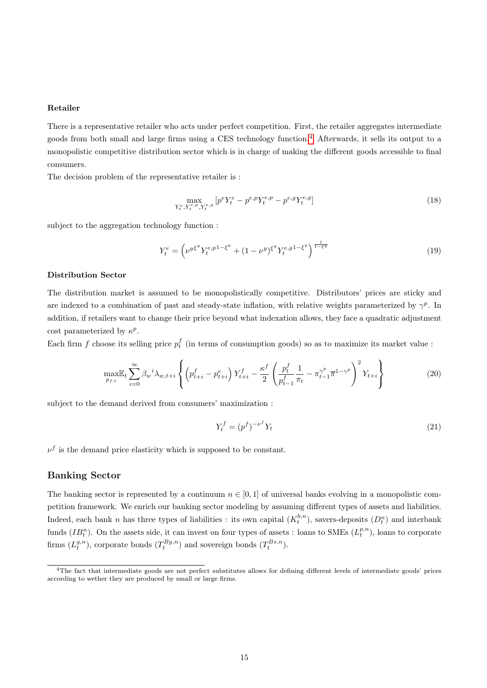#### Retailer

There is a representative retailer who acts under perfect competition. First, the retailer aggregates intermediate goods from both small and large firms using a CES technology function.[4](#page-16-0) Afterwards, it sells its output to a monopolistic competitive distribution sector which is in charge of making the different goods accessible to final consumers.

The decision problem of the representative retailer is :

$$
\max_{Y_t^e, Y_t^{e,p}, Y_t^{e,g}} \left[ p^e Y_t^e - p^{e,p} Y_t^{e,p} - p^{e,g} Y_t^{e,g} \right] \tag{18}
$$

subject to the aggregation technology function :

$$
Y_t^e = \left(\nu^{y\xi^y} Y_t^{e,p1-\xi^y} + (1-\nu^y)^{\xi^y} Y_t^{e,g1-\xi^y}\right)^{\frac{1}{1-\xi^y}}
$$
(19)

#### Distribution Sector

The distribution market is assumed to be monopolistically competitive. Distributors' prices are sticky and are indexed to a combination of past and steady-state inflation, with relative weights parameterized by  $\gamma^p$ . In addition, if retailers want to change their price beyond what indexation allows, they face a quadratic adjustment cost parameterized by  $\kappa^p$ .

Each firm f choose its selling price  $p_t^f$  (in terms of consumption goods) so as to maximize its market value :

$$
\max_{p_{f,t}} \mathbb{E}_t \sum_{i=0}^{\infty} \beta_w^i \lambda_{w,t+i} \left\{ \left( p_{t+i}^f - p_{t+i}^e \right) Y_{t+i}^f - \frac{\kappa^f}{2} \left( \frac{p_t^f}{p_{t-1}^f} \frac{1}{\pi_t} - \pi_{t-1}^{\gamma^p} \overline{\pi}^{1-\gamma^p} \right)^2 Y_{t+i} \right\}
$$
(20)

subject to the demand derived from consumers' maximization :

$$
Y_t^f = (p^f)^{-\nu^f} Y_t \tag{21}
$$

 $\nu^f$  is the demand price elasticity which is supposed to be constant.

#### <span id="page-16-1"></span>Banking Sector

The banking sector is represented by a continuum  $n \in [0, 1]$  of universal banks evolving in a monopolistic competition framework. We enrich our banking sector modeling by assuming different types of assets and liabilities. Indeed, each bank n has three types of liabilities : its own capital  $(K_t^{b,n})$ , savers-deposits  $(D_t^n)$  and interbank funds  $(IB<sup>n</sup><sub>t</sub>)$ . On the assets side, it can invest on four types of assets : loans to SMEs  $(L<sup>p,n</sup><sub>t</sub>)$ , loans to corporate firms  $(L_t^{g,n})$ , corporate bonds  $(T_t^{Bg,n})$  and sovereign bonds  $(T_t^{Bs,n})$ .

<span id="page-16-0"></span><sup>4</sup>The fact that intermediate goods are not perfect substitutes allows for defining different levels of intermediate goods' prices according to wether they are produced by small or large firms.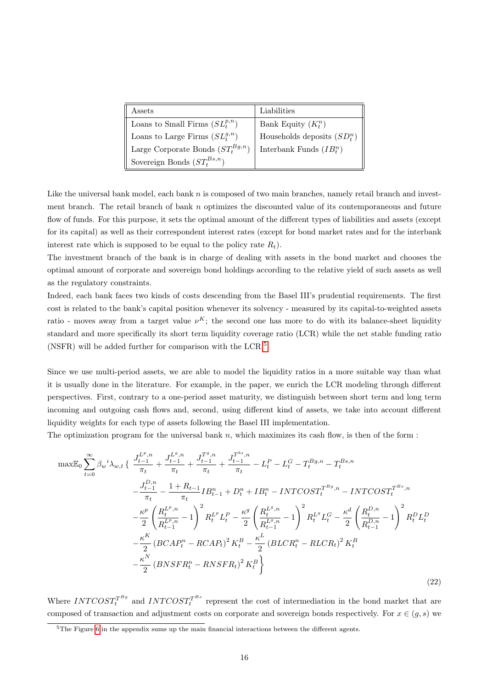| Assets                                   | Liabilities                    |
|------------------------------------------|--------------------------------|
| Loans to Small Firms $(SL_t^{p,n})$      | Bank Equity $(K_t^n)$          |
| Loans to Large Firms $(SL^{g,n}_t)$      | Households deposits $(SD_t^n)$ |
| Large Corporate Bonds $(ST^{Bg,n}_\ast)$ | Interbank Funds $(IB^n_*)$     |
| Sovereign Bonds $(ST_t^{Bs,n})$          |                                |

Like the universal bank model, each bank  $n$  is composed of two main branches, namely retail branch and investment branch. The retail branch of bank  $n$  optimizes the discounted value of its contemporaneous and future flow of funds. For this purpose, it sets the optimal amount of the different types of liabilities and assets (except for its capital) as well as their correspondent interest rates (except for bond market rates and for the interbank interest rate which is supposed to be equal to the policy rate  $R_t$ ).

The investment branch of the bank is in charge of dealing with assets in the bond market and chooses the optimal amount of corporate and sovereign bond holdings according to the relative yield of such assets as well as the regulatory constraints.

Indeed, each bank faces two kinds of costs descending from the Basel III's prudential requirements. The first cost is related to the bank's capital position whenever its solvency - measured by its capital-to-weighted assets ratio - moves away from a target value  $\nu^K$ ; the second one has more to do with its balance-sheet liquidity standard and more specifically its short term liquidity coverage ratio (LCR) while the net stable funding ratio (NSFR) will be added further for comparison with the LCR.[5](#page-17-0)

Since we use multi-period assets, we are able to model the liquidity ratios in a more suitable way than what it is usually done in the literature. For example, in the paper, we enrich the LCR modeling through different perspectives. First, contrary to a one-period asset maturity, we distinguish between short term and long term incoming and outgoing cash flows and, second, using different kind of assets, we take into account different liquidity weights for each type of assets following the Basel III implementation.

The optimization program for the universal bank  $n$ , which maximizes its cash flow, is then of the form :

$$
\max \mathbb{E}_{0} \sum_{t=0}^{\infty} \beta_{w}{}^{i} \lambda_{w,t} \left\{ \frac{J_{t-1}^{L^{p},n}}{\pi_{t}} + \frac{J_{t-1}^{L^{g},n}}{\pi_{t}} + \frac{J_{t-1}^{T^{b},n}}{\pi_{t}} + \frac{J_{t-1}^{T^{b},n}}{\pi_{t}} - L_{t}^{P} - L_{t}^{G} - T_{t}^{Bg,n} - T_{t}^{Bs,n} - \frac{J_{t-1}^{B,n}}{\pi_{t}} - \frac{J_{t-1}^{D,n}}{\pi_{t}} - \frac{1 + R_{t-1}}{\pi_{t}} I B_{t-1}^{n} + D_{t}^{n} + I B_{t}^{n} - INTCOST_{t}^{T^{Bg},n} - INTCOST_{t}^{T^{Bs},n} - \frac{K^{p}}{2} \left( \frac{R_{t}^{L^{p},n}}{R_{t-1}^{L^{p},n}} - 1 \right)^{2} R_{t}^{L^{p}} L_{t}^{P} - \frac{K^{g}}{2} \left( \frac{R_{t}^{L^{g},n}}{R_{t-1}^{L^{g},n}} - 1 \right)^{2} R_{t}^{L^{g}} L_{t}^{G} - \frac{K^{d}}{2} \left( \frac{R_{t}^{D,n}}{R_{t-1}^{D,n}} - 1 \right)^{2} R_{t}^{D} L_{t}^{D} - \frac{K^{K}}{2} (BCAP_{t}^{n} - RCAR_{t})^{2} K_{t}^{B} - \frac{K^{L}}{2} (BLCR_{t}^{n} - RLCR_{t})^{2} K_{t}^{B} - \frac{K^{N}}{2} (BNSFR_{t}^{n} - RNSFR_{t})^{2} K_{t}^{B}
$$
\n
$$
(22)
$$

Where  $INTCOST_t^{T^{Bg}}$  and  $INTCOST_t^{T^{Bs}}$  represent the cost of intermediation in the bond market that are composed of transaction and adjustment costs on corporate and sovereign bonds respectively. For  $x \in (q, s)$  we

<span id="page-17-0"></span> $5$ The Figure [6](#page-35-0) in the appendix sums up the main financial interactions between the different agents.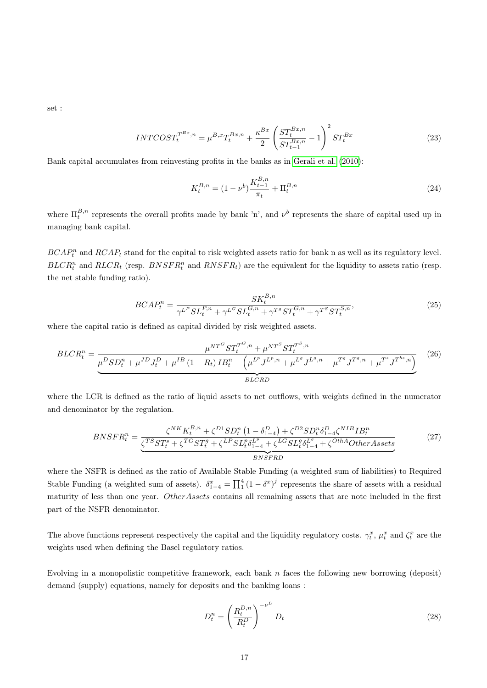set :

$$
INTCOST_t^{T^{Bx},n} = \mu^{B,x} T_t^{Bx,n} + \frac{\kappa^{Bx}}{2} \left( \frac{ST_t^{Bx,n}}{ST_{t-1}^{Bx,n}} - 1 \right)^2 ST_t^{Bx}
$$
 (23)

Bank capital accumulates from reinvesting profits in the banks as in [Gerali et al.](#page-31-4) [\(2010\)](#page-31-4):

$$
K_t^{B,n} = (1 - \nu^b) \frac{K_{t-1}^{B,n}}{\pi_t} + \Pi_t^{B,n}
$$
\n(24)

where  $\Pi_t^{B,n}$  represents the overall profits made by bank 'n', and  $\nu^b$  represents the share of capital used up in managing bank capital.

 $BCAP_t^n$  and  $RCAP_t$  stand for the capital to risk weighted assets ratio for bank n as well as its regulatory level.  $BLCR_t^n$  and  $RLCR_t$  (resp.  $BNSFR_t^n$  and  $RNSFR_t$ ) are the equivalent for the liquidity to assets ratio (resp. the net stable funding ratio).

$$
BCAP_t^n = \frac{SK_t^{B,n}}{\gamma^{L^P} SL_t^{P,n} + \gamma^{L^G} SL_t^{G,n} + \gamma^{T^g} ST_t^{G,n} + \gamma^{T^S} ST_t^{S,n}},
$$
\n(25)

where the capital ratio is defined as capital divided by risk weighted assets.

$$
BLCR_t^n = \frac{\mu^{NT^G} ST_t^{T^G,n} + \mu^{NT^S} ST_t^{T^S,n}}{\mu^D SD_t^n + \mu^{JD} J_t^D + \mu^{IB} (1 + R_t) IB_t^n - (\mu^{L^p} J^{L^p,n} + \mu^{L^g} J^{L^g,n} + \mu^{T^g} J^{T^g,n} + \mu^{T^s} J^{T^{bs},n})}
$$
(26)

where the LCR is defined as the ratio of liquid assets to net outflows, with weights defined in the numerator and denominator by the regulation.

$$
BNSFR_t^n = \frac{\zeta^{NK} K_t^{B,n} + \zeta^{D1} SD_t^n (1 - \delta_{1-4}^D) + \zeta^{D2} SD_t^n \delta_{1-4}^D \zeta^{NIB} IB_t^n}{\zeta^{TS} ST_t^s + \zeta^{TG} ST_t^g + \zeta^{LP} SL_t^p \delta_{1-4}^{LP} + \zeta^{LG} SL_t^g \delta_{1-4}^{L^g} + \zeta^{OthA} Other Assets}
$$
\n(27)

where the NSFR is defined as the ratio of Available Stable Funding (a weighted sum of liabilities) to Required Stable Funding (a weighted sum of assets).  $\delta_{1-4}^x = \prod_{1}^4 (1 - \delta^x)^j$  represents the share of assets with a residual maturity of less than one year. OtherAssets contains all remaining assets that are note included in the first part of the NSFR denominator.

The above functions represent respectively the capital and the liquidity regulatory costs.  $\gamma_t^x$ ,  $\mu_t^x$  and  $\zeta_t^x$  are the weights used when defining the Basel regulatory ratios.

Evolving in a monopolistic competitive framework, each bank  $n$  faces the following new borrowing (deposit) demand (supply) equations, namely for deposits and the banking loans :

$$
D_t^n = \left(\frac{R_t^{D,n}}{R_t^D}\right)^{-\nu^D} D_t \tag{28}
$$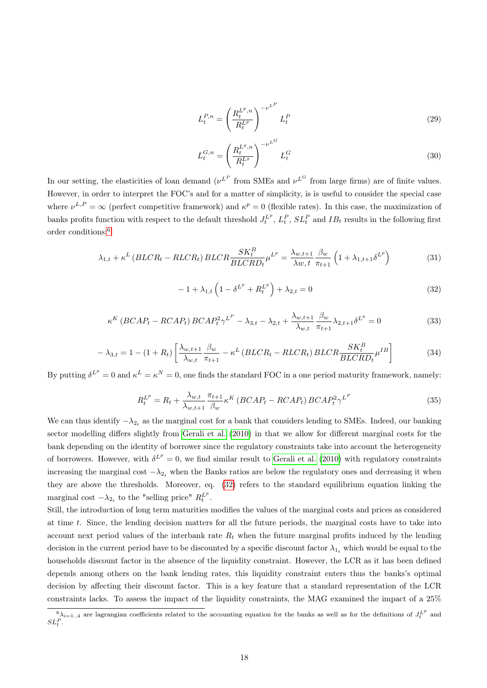$$
L_t^{P,n} = \left(\frac{R_t^{L^p,n}}{R_t^{L^p}}\right)^{-\nu^L} L_t^P
$$
\n(29)

$$
L_t^{G,n} = \left(\frac{R_t^{L^g,n}}{R_t^{L^g}}\right)^{-\nu^{L^G}} L_t^G
$$
\n(30)

In our setting, the elasticities of loan demand  $(\nu^{L^P}$  from SMEs and  $\nu^{L^G}$  from large firms) are of finite values. However, in order to interpret the FOC's and for a matter of simplicity, is is useful to consider the special case where  $\nu^{L,P} = \infty$  (perfect competitive framework) and  $\kappa^p = 0$  (flexible rates). In this case, the maximization of banks profits function with respect to the default threshold  $J_t^L$ ,  $L_t^P$ ,  $SL_t^P$  and  $IB_t$  results in the following first order conditions:[6](#page-19-0)

<span id="page-19-2"></span>
$$
\lambda_{1,t} + \kappa^L \left( BLCR_t - RLCR_t \right) BLCR \frac{SK_t^B}{BLCR D_t} \mu^{L^p} = \frac{\lambda_{w,t+1}}{\lambda w, t} \frac{\beta_w}{\pi_{t+1}} \left( 1 + \lambda_{1,t+1} \delta^{L^p} \right) \tag{31}
$$

<span id="page-19-1"></span>
$$
-1 + \lambda_{1,t} \left( 1 - \delta^{L^p} + R_t^{L^p} \right) + \lambda_{2,t} = 0 \tag{32}
$$

$$
\kappa^K \left(BCAP_t - RCAP_t\right)BCAP_t^2 \gamma^{L^P} - \lambda_{3,t} - \lambda_{2,t} + \frac{\lambda_{w,t+1}}{\lambda_{w,t}} \frac{\beta_w}{\pi_{t+1}} \lambda_{2,t+1} \delta^{L^P} = 0 \tag{33}
$$

<span id="page-19-3"></span>
$$
-\lambda_{3,t} = 1 - (1 + R_t) \left[ \frac{\lambda_{w,t+1}}{\lambda_{w,t}} \frac{\beta_w}{\pi_{t+1}} - \kappa^L \left( BLCR_t - RLCR_t \right) BLCR \frac{SK_t^B}{BLCRD_t} \mu^{IB} \right]
$$
(34)

By putting  $\delta^{L^p} = 0$  and  $\kappa^L = \kappa^N = 0$ , one finds the standard FOC in a one period maturity framework, namely:

$$
R_t^{L^p} = R_t + \frac{\lambda_{w,t}}{\lambda_{w,t+1}} \frac{\pi_{t+1}}{\beta_w} \kappa^K \left(BCAP_t - RCAP_t\right)BCAP_t^2 \gamma^{L^p} \tag{35}
$$

We can thus identify  $-\lambda_{2_t}$  as the marginal cost for a bank that considers lending to SMEs. Indeed, our banking sector modelling differs slightly from [Gerali et al.](#page-31-4) [\(2010\)](#page-31-4) in that we allow for different marginal costs for the bank depending on the identity of borrower since the regulatory constraints take into account the heterogeneity of borrowers. However, with  $\delta^{L^p} = 0$ , we find similar result to [Gerali et al.](#page-31-4) [\(2010\)](#page-31-4) with regulatory constraints increasing the marginal cost  $-\lambda_{2t}$  when the Banks ratios are below the regulatory ones and decreasing it when they are above the thresholds. Moreover, eq. [\(32\)](#page-19-1) refers to the standard equilibrium equation linking the marginal cost  $-\lambda_{2_t}$  to the "selling price"  $R_t^{L^p}$ .

Still, the introduction of long term maturities modifies the values of the marginal costs and prices as considered at time t. Since, the lending decision matters for all the future periods, the marginal costs have to take into account next period values of the interbank rate  $R_t$  when the future marginal profits induced by the lending decision in the current period have to be discounted by a specific discount factor  $\lambda_{1_t}$  which would be equal to the households discount factor in the absence of the liquidity constraint. However, the LCR as it has been defined depends among others on the bank lending rates, this liquidity constraint enters thus the banks's optimal decision by affecting their discount factor. This is a key feature that a standard representation of the LCR constraints lacks. To assess the impact of the liquidity constraints, the MAG examined the impact of a 25%

<span id="page-19-0"></span> $\int_{0}^{6} \lambda_{i=1..4}$  are lagrangian coefficients related to the accounting equation for the banks as well as for the definitions of  $J_t^{L^p}$  and  $SL_t^P$  .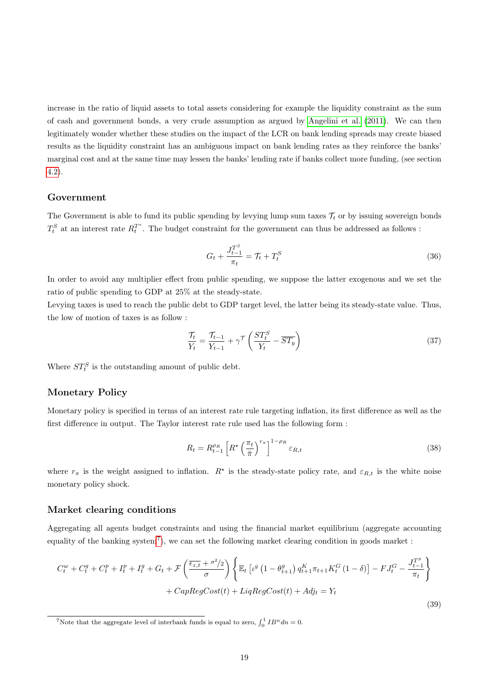increase in the ratio of liquid assets to total assets considering for example the liquidity constraint as the sum of cash and government bonds, a very crude assumption as argued by [Angelini et al.](#page-31-2) [\(2011\)](#page-31-2). We can then legitimately wonder whether these studies on the impact of the LCR on bank lending spreads may create biased results as the liquidity constraint has an ambiguous impact on bank lending rates as they reinforce the banks' marginal cost and at the same time may lessen the banks' lending rate if banks collect more funding, (see section [4.2\)](#page-25-0).

### Government

The Government is able to fund its public spending by levying lump sum taxes  $\mathcal{T}_t$  or by issuing sovereign bonds  $T_t^S$  at an interest rate  $R_t^{T^s}$ . The budget constraint for the government can thus be addressed as follows :

$$
G_t + \frac{J_{t-1}^{T^S}}{\pi_t} = \mathcal{T}_t + T_t^S \tag{36}
$$

In order to avoid any multiplier effect from public spending, we suppose the latter exogenous and we set the ratio of public spending to GDP at 25% at the steady-state.

Levying taxes is used to reach the public debt to GDP target level, the latter being its steady-state value. Thus, the low of motion of taxes is as follow :

$$
\frac{\mathcal{T}_t}{Y_t} = \frac{\mathcal{T}_{t-1}}{Y_{t-1}} + \gamma^{\mathcal{T}} \left( \frac{ST_t^S}{Y_t} - \overline{ST_y} \right) \tag{37}
$$

Where  $ST_t^S$  is the outstanding amount of public debt.

## Monetary Policy

Monetary policy is specified in terms of an interest rate rule targeting inflation, its first difference as well as the first difference in output. The Taylor interest rate rule used has the following form :

$$
R_t = R_{t-1}^{\rho_R} \left[ R^* \left( \frac{\pi_t}{\bar{\pi}} \right)^{r_{\pi}} \right]^{1-\rho_R} \varepsilon_{R,t} \tag{38}
$$

where  $r_{\pi}$  is the weight assigned to inflation.  $R^*$  is the steady-state policy rate, and  $\varepsilon_{R,t}$  is the white noise monetary policy shock.

### Market clearing conditions

Aggregating all agents budget constraints and using the financial market equilibrium (aggregate accounting equality of the banking system<sup>[7](#page-20-0)</sup>), we can set the following market clearing condition in goods market :

$$
C_t^w + C_t^g + C_t^p + I_t^p + I_t^g + G_t + \mathcal{F}\left(\frac{\overline{\epsilon_{z,t}} + \sigma^2/2}{\sigma}\right) \left\{ \mathbb{E}_t \left[ \iota^g \left(1 - \theta_{t+1}^g \right) q_{t+1}^K \pi_{t+1} K_t^G \left(1 - \delta\right) \right] - F J_t^G - \frac{J_{t-1}^{T^g}}{\pi_t} \right\} + CapRegCost(t) + LiqRegCost(t) + Adj_t = Y_t
$$
\n
$$
(39)
$$

<span id="page-20-0"></span><sup>&</sup>lt;sup>7</sup>Note that the aggregate level of interbank funds is equal to zero,  $\int_0^1 IB^n dn = 0$ .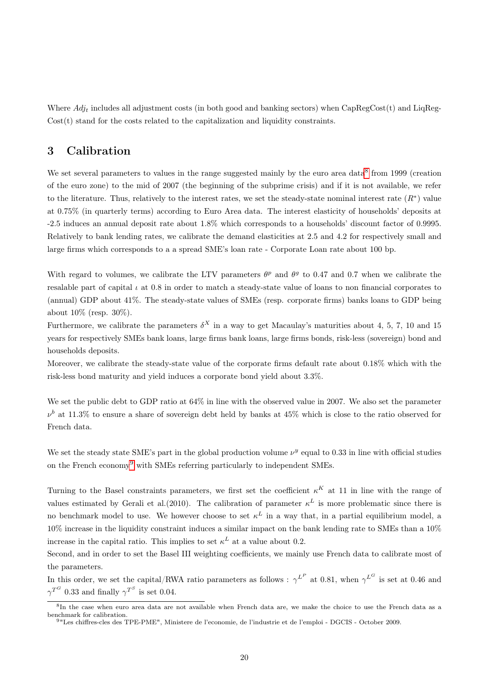Where  $Adj_t$  includes all adjustment costs (in both good and banking sectors) when CapRegCost(t) and LiqReg-Cost(t) stand for the costs related to the capitalization and liquidity constraints.

## <span id="page-21-0"></span>3 Calibration

We set several parameters to values in the range suggested mainly by the euro area data $8$  from 1999 (creation of the euro zone) to the mid of 2007 (the beginning of the subprime crisis) and if it is not available, we refer to the literature. Thus, relatively to the interest rates, we set the steady-state nominal interest rate  $(R^*)$  value at 0.75% (in quarterly terms) according to Euro Area data. The interest elasticity of households' deposits at -2.5 induces an annual deposit rate about 1.8% which corresponds to a households' discount factor of 0.9995. Relatively to bank lending rates, we calibrate the demand elasticities at 2.5 and 4.2 for respectively small and large firms which corresponds to a a spread SME's loan rate - Corporate Loan rate about 100 bp.

With regard to volumes, we calibrate the LTV parameters  $\theta^p$  and  $\theta^g$  to 0.47 and 0.7 when we calibrate the resalable part of capital  $\iota$  at 0.8 in order to match a steady-state value of loans to non financial corporates to (annual) GDP about 41%. The steady-state values of SMEs (resp. corporate firms) banks loans to GDP being about 10% (resp. 30%).

Furthermore, we calibrate the parameters  $\delta^X$  in a way to get Macaulay's maturities about 4, 5, 7, 10 and 15 years for respectively SMEs bank loans, large firms bank loans, large firms bonds, risk-less (sovereign) bond and households deposits.

Moreover, we calibrate the steady-state value of the corporate firms default rate about 0.18% which with the risk-less bond maturity and yield induces a corporate bond yield about 3.3%.

We set the public debt to GDP ratio at  $64\%$  in line with the observed value in 2007. We also set the parameter  $\nu^b$  at 11.3% to ensure a share of sovereign debt held by banks at 45% which is close to the ratio observed for French data.

We set the steady state SME's part in the global production volume  $\nu^y$  equal to 0.33 in line with official studies on the French economy[9](#page-21-2) with SMEs referring particularly to independent SMEs.

Turning to the Basel constraints parameters, we first set the coefficient  $\kappa^K$  at 11 in line with the range of values estimated by Gerali et al.(2010). The calibration of parameter  $\kappa^L$  is more problematic since there is no benchmark model to use. We however choose to set  $\kappa^L$  in a way that, in a partial equilibrium model, a 10% increase in the liquidity constraint induces a similar impact on the bank lending rate to SMEs than a 10% increase in the capital ratio. This implies to set  $\kappa^L$  at a value about 0.2.

Second, and in order to set the Basel III weighting coefficients, we mainly use French data to calibrate most of the parameters.

In this order, we set the capital/RWA ratio parameters as follows :  $\gamma^{L^P}$  at 0.81, when  $\gamma^{L^G}$  is set at 0.46 and  $\gamma^{T^G}$  0.33 and finally  $\gamma^{T^S}$  is set 0.04.

<span id="page-21-1"></span><sup>8</sup> In the case when euro area data are not available when French data are, we make the choice to use the French data as a benchmark for calibration.

<span id="page-21-2"></span><sup>9</sup>"Les chiffres-cles des TPE-PME", Ministere de l'economie, de l'industrie et de l'emploi - DGCIS - October 2009.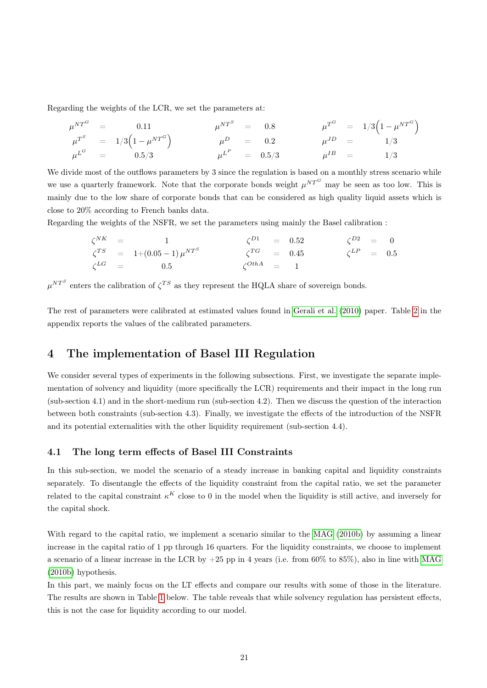Regarding the weights of the LCR, we set the parameters at:

$$
\mu^{NT^G} = 0.11 \qquad \mu^{NT^S} = 0.8 \qquad \mu^{T^G} = 1/3 \left( 1 - \mu^{NT^G} \right) \n\mu^{T^S} = 1/3 \left( 1 - \mu^{NT^G} \right) \qquad \mu^D = 0.2 \qquad \mu^{JD} = 1/3 \n\mu^{L^G} = 0.5/3 \qquad \mu^{L^P} = 0.5/3 \qquad \mu^{IB} = 1/3
$$

We divide most of the outflows parameters by 3 since the regulation is based on a monthly stress scenario while we use a quarterly framework. Note that the corporate bonds weight  $\mu^{NT^G}$  may be seen as too low. This is mainly due to the low share of corporate bonds that can be considered as high quality liquid assets which is close to 20% according to French banks data.

Regarding the weights of the NSFR, we set the parameters using mainly the Basel calibration :

|  | $\zeta^{NK}$ = 1                         | $\zeta^{D1}$ = 0.52 |  | $\zeta^{D2} = 0$   |  |
|--|------------------------------------------|---------------------|--|--------------------|--|
|  | $\zeta^{TS} = 1 + (0.05 - 1) \mu^{NT^S}$ | $\zeta^{TG}$ = 0.45 |  | $\zeta^{LP}$ = 0.5 |  |
|  | $\zeta^{LG}$ = 0.5                       | $\zeta^{OthA}$ = 1  |  |                    |  |

 $\mu^{NT^S}$  enters the calibration of  $\zeta^{TS}$  as they represent the HQLA share of sovereign bonds.

The rest of parameters were calibrated at estimated values found in [Gerali et al.](#page-31-4) [\(2010\)](#page-31-4) paper. Table [2](#page-33-0) in the appendix reports the values of the calibrated parameters.

# <span id="page-22-0"></span>4 The implementation of Basel III Regulation

We consider several types of experiments in the following subsections. First, we investigate the separate implementation of solvency and liquidity (more specifically the LCR) requirements and their impact in the long run (sub-section 4.1) and in the short-medium run (sub-section 4.2). Then we discuss the question of the interaction between both constraints (sub-section 4.3). Finally, we investigate the effects of the introduction of the NSFR and its potential externalities with the other liquidity requirement (sub-section 4.4).

### 4.1 The long term effects of Basel III Constraints

In this sub-section, we model the scenario of a steady increase in banking capital and liquidity constraints separately. To disentangle the effects of the liquidity constraint from the capital ratio, we set the parameter related to the capital constraint  $\kappa^K$  close to 0 in the model when the liquidity is still active, and inversely for the capital shock.

With regard to the capital ratio, we implement a scenario similar to the [MAG](#page-32-0) [\(2010b\)](#page-32-0) by assuming a linear increase in the capital ratio of 1 pp through 16 quarters. For the liquidity constraints, we choose to implement a scenario of a linear increase in the LCR by  $+25$  pp in 4 years (i.e. from 60% to 85%), also in line with [MAG](#page-32-0) [\(2010b\)](#page-32-0) hypothesis.

In this part, we mainly focus on the LT effects and compare our results with some of those in the literature. The results are shown in Table [1](#page-23-0) below. The table reveals that while solvency regulation has persistent effects, this is not the case for liquidity according to our model.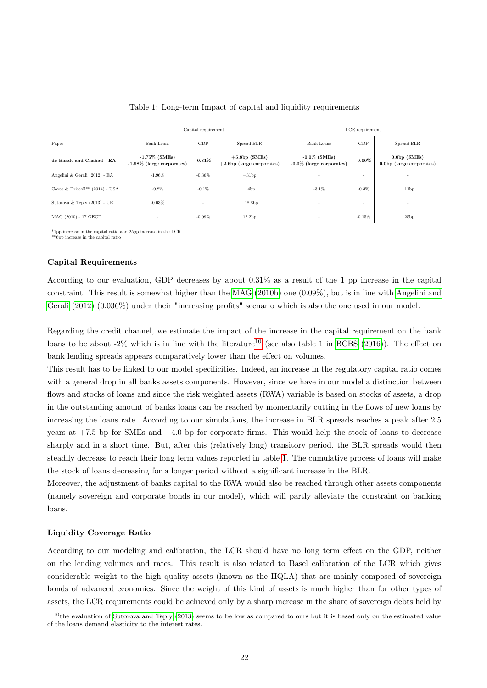<span id="page-23-0"></span>

|                                   | Capital requirement                              |           |                                                 | LCR requirement                                |                   |                                            |
|-----------------------------------|--------------------------------------------------|-----------|-------------------------------------------------|------------------------------------------------|-------------------|--------------------------------------------|
| Paper                             | Bank Loans                                       | GDP       | Spread BLR                                      | <b>Bank Loans</b>                              | GDP<br>Spread BLR |                                            |
| de Bandt and Chahad - EA          | $-1.75\%$ (SMEs)<br>$-1.98\%$ (large corporates) | $-0.31\%$ | $+5.8bp$ (SMEs)<br>$+2.6$ bp (large corporates) | $-0.0\%$ (SMEs)<br>$-0.0\%$ (large corporates) | $-0.00\%$         | $0.0bp$ (SMEs)<br>0.0bp (large corporates) |
| Angelini & Gerali (2012) - EA     | $-1.96%$                                         | $-0.36\%$ | $+31bp$                                         |                                                | ٠                 |                                            |
| Covas & Driscoll** $(2014)$ - USA | $-0.8\%$                                         | $-0.1\%$  | $+4bp$                                          | $-3.1\%$                                       | $-0.3%$           | $+11bp$                                    |
| Sutorova & Teply $(2013)$ - UE    | $-0.03%$                                         | ٠         | $+18.8bp$                                       | ٠                                              | ٠                 | $\overline{\phantom{a}}$                   |
| MAG (2010) - 17 OECD              | $\overline{\phantom{a}}$                         | $-0.09\%$ | 12.2bp                                          | ٠                                              | $-0.15\%$         | $+25bp$                                    |

|  |  | Table 1: Long-term Impact of capital and liquidity requirements |  |
|--|--|-----------------------------------------------------------------|--|
|  |  |                                                                 |  |

 $^*1\rm{pp}$  increase in the capital ratio and 25pp increase in the LCR  $^{**}\rm{6pp}$  increase in the capital ratio

#### Capital Requirements

According to our evaluation, GDP decreases by about 0.31% as a result of the 1 pp increase in the capital constraint. This result is somewhat higher than the [MAG](#page-32-0) [\(2010b\)](#page-32-0) one (0.09%), but is in line with [Angelini and](#page-31-5) [Gerali](#page-31-5) [\(2012\)](#page-31-5) (0.036%) under their "increasing profits" scenario which is also the one used in our model.

Regarding the credit channel, we estimate the impact of the increase in the capital requirement on the bank loans to be about  $-2\%$  which is in line with the literature<sup>[10](#page-23-1)</sup> (see also table 1 in [BCBS](#page-31-1) [\(2016\)](#page-31-1)). The effect on bank lending spreads appears comparatively lower than the effect on volumes.

This result has to be linked to our model specificities. Indeed, an increase in the regulatory capital ratio comes with a general drop in all banks assets components. However, since we have in our model a distinction between flows and stocks of loans and since the risk weighted assets (RWA) variable is based on stocks of assets, a drop in the outstanding amount of banks loans can be reached by momentarily cutting in the flows of new loans by increasing the loans rate. According to our simulations, the increase in BLR spreads reaches a peak after 2.5 years at  $+7.5$  bp for SMEs and  $+4.0$  bp for corporate firms. This would help the stock of loans to decrease sharply and in a short time. But, after this (relatively long) transitory period, the BLR spreads would then steadily decrease to reach their long term values reported in table [1.](#page-23-0) The cumulative process of loans will make the stock of loans decreasing for a longer period without a significant increase in the BLR.

Moreover, the adjustment of banks capital to the RWA would also be reached through other assets components (namely sovereign and corporate bonds in our model), which will partly alleviate the constraint on banking loans.

#### Liquidity Coverage Ratio

According to our modeling and calibration, the LCR should have no long term effect on the GDP, neither on the lending volumes and rates. This result is also related to Basel calibration of the LCR which gives considerable weight to the high quality assets (known as the HQLA) that are mainly composed of sovereign bonds of advanced economies. Since the weight of this kind of assets is much higher than for other types of assets, the LCR requirements could be achieved only by a sharp increase in the share of sovereign debts held by

<span id="page-23-1"></span> $10$ the evaluation of [Sutorova and Teply](#page-32-2) [\(2013\)](#page-32-2) seems to be low as compared to ours but it is based only on the estimated value of the loans demand elasticity to the interest rates.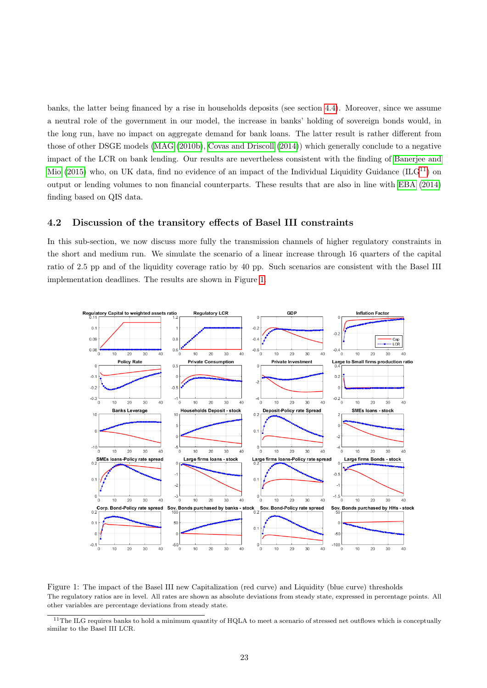banks, the latter being financed by a rise in households deposits (see section [4.4\)](#page-28-0). Moreover, since we assume a neutral role of the government in our model, the increase in banks' holding of sovereign bonds would, in the long run, have no impact on aggregate demand for bank loans. The latter result is rather different from those of other DSGE models [\(MAG](#page-32-0) [\(2010b\)](#page-32-0), [Covas and Driscoll](#page-31-7) [\(2014\)](#page-31-7)) which generally conclude to a negative impact of the LCR on bank lending. Our results are nevertheless consistent with the finding of [Banerjee and](#page-31-9) [Mio](#page-31-9) [\(2015\)](#page-31-9) who, on UK data, find no evidence of an impact of the Individual Liquidity Guidance (ILG<sup>[11](#page-24-0)</sup>) on output or lending volumes to non financial counterparts. These results that are also in line with [EBA](#page-31-10) [\(2014\)](#page-31-10) finding based on QIS data.

## 4.2 Discussion of the transitory effects of Basel III constraints

In this sub-section, we now discuss more fully the transmission channels of higher regulatory constraints in the short and medium run. We simulate the scenario of a linear increase through 16 quarters of the capital ratio of 2.5 pp and of the liquidity coverage ratio by 40 pp. Such scenarios are consistent with the Basel III implementation deadlines. The results are shown in Figure [1.](#page-24-1)

<span id="page-24-1"></span>

Figure 1: The impact of the Basel III new Capitalization (red curve) and Liquidity (blue curve) thresholds The regulatory ratios are in level. All rates are shown as absolute deviations from steady state, expressed in percentage points. All other variables are percentage deviations from steady state.

<span id="page-24-0"></span><sup>&</sup>lt;sup>11</sup>The ILG requires banks to hold a minimum quantity of HQLA to meet a scenario of stressed net outflows which is conceptually similar to the Basel III LCR.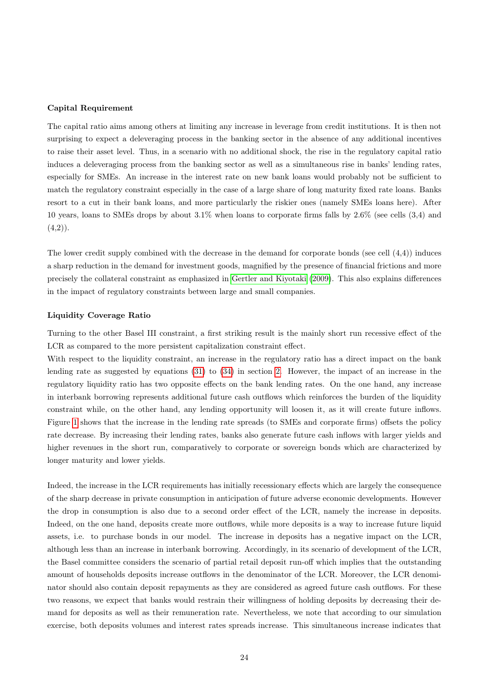#### Capital Requirement

The capital ratio aims among others at limiting any increase in leverage from credit institutions. It is then not surprising to expect a deleveraging process in the banking sector in the absence of any additional incentives to raise their asset level. Thus, in a scenario with no additional shock, the rise in the regulatory capital ratio induces a deleveraging process from the banking sector as well as a simultaneous rise in banks' lending rates, especially for SMEs. An increase in the interest rate on new bank loans would probably not be sufficient to match the regulatory constraint especially in the case of a large share of long maturity fixed rate loans. Banks resort to a cut in their bank loans, and more particularly the riskier ones (namely SMEs loans here). After 10 years, loans to SMEs drops by about 3.1% when loans to corporate firms falls by 2.6% (see cells (3,4) and  $(4,2)$ ).

The lower credit supply combined with the decrease in the demand for corporate bonds (see cell (4,4)) induces a sharp reduction in the demand for investment goods, magnified by the presence of financial frictions and more precisely the collateral constraint as emphasized in [Gertler and Kiyotaki](#page-32-11) [\(2009\)](#page-32-11). This also explains differences in the impact of regulatory constraints between large and small companies.

#### <span id="page-25-0"></span>Liquidity Coverage Ratio

Turning to the other Basel III constraint, a first striking result is the mainly short run recessive effect of the LCR as compared to the more persistent capitalization constraint effect.

With respect to the liquidity constraint, an increase in the regulatory ratio has a direct impact on the bank lending rate as suggested by equations [\(31\)](#page-19-2) to [\(34\)](#page-19-3) in section [2.](#page-16-1) However, the impact of an increase in the regulatory liquidity ratio has two opposite effects on the bank lending rates. On the one hand, any increase in interbank borrowing represents additional future cash outflows which reinforces the burden of the liquidity constraint while, on the other hand, any lending opportunity will loosen it, as it will create future inflows. Figure [1](#page-24-1) shows that the increase in the lending rate spreads (to SMEs and corporate firms) offsets the policy rate decrease. By increasing their lending rates, banks also generate future cash inflows with larger yields and higher revenues in the short run, comparatively to corporate or sovereign bonds which are characterized by longer maturity and lower yields.

Indeed, the increase in the LCR requirements has initially recessionary effects which are largely the consequence of the sharp decrease in private consumption in anticipation of future adverse economic developments. However the drop in consumption is also due to a second order effect of the LCR, namely the increase in deposits. Indeed, on the one hand, deposits create more outflows, while more deposits is a way to increase future liquid assets, i.e. to purchase bonds in our model. The increase in deposits has a negative impact on the LCR, although less than an increase in interbank borrowing. Accordingly, in its scenario of development of the LCR, the Basel committee considers the scenario of partial retail deposit run-off which implies that the outstanding amount of households deposits increase outflows in the denominator of the LCR. Moreover, the LCR denominator should also contain deposit repayments as they are considered as agreed future cash outflows. For these two reasons, we expect that banks would restrain their willingness of holding deposits by decreasing their demand for deposits as well as their remuneration rate. Nevertheless, we note that according to our simulation exercise, both deposits volumes and interest rates spreads increase. This simultaneous increase indicates that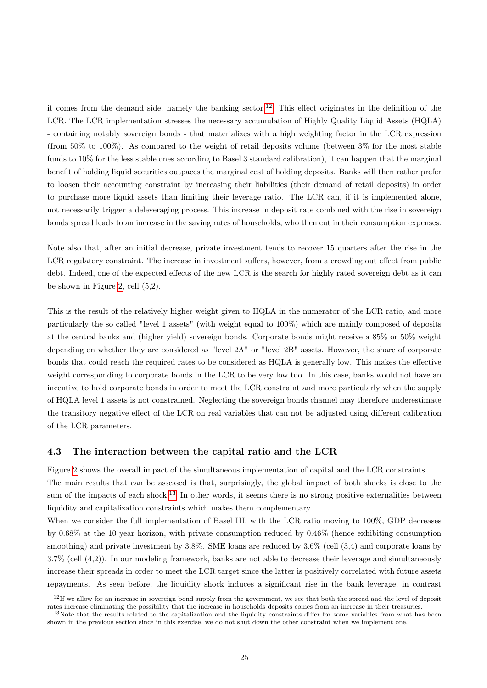it comes from the demand side, namely the banking sector.<sup>[12](#page-26-0)</sup> This effect originates in the definition of the LCR. The LCR implementation stresses the necessary accumulation of Highly Quality Liquid Assets (HQLA) - containing notably sovereign bonds - that materializes with a high weighting factor in the LCR expression (from 50% to 100%). As compared to the weight of retail deposits volume (between  $3\%$  for the most stable funds to 10% for the less stable ones according to Basel 3 standard calibration), it can happen that the marginal benefit of holding liquid securities outpaces the marginal cost of holding deposits. Banks will then rather prefer to loosen their accounting constraint by increasing their liabilities (their demand of retail deposits) in order to purchase more liquid assets than limiting their leverage ratio. The LCR can, if it is implemented alone, not necessarily trigger a deleveraging process. This increase in deposit rate combined with the rise in sovereign bonds spread leads to an increase in the saving rates of households, who then cut in their consumption expenses.

Note also that, after an initial decrease, private investment tends to recover 15 quarters after the rise in the LCR regulatory constraint. The increase in investment suffers, however, from a crowding out effect from public debt. Indeed, one of the expected effects of the new LCR is the search for highly rated sovereign debt as it can be shown in Figure [2,](#page-27-0) cell (5,2).

This is the result of the relatively higher weight given to HQLA in the numerator of the LCR ratio, and more particularly the so called "level 1 assets" (with weight equal to 100%) which are mainly composed of deposits at the central banks and (higher yield) sovereign bonds. Corporate bonds might receive a 85% or 50% weight depending on whether they are considered as "level 2A" or "level 2B" assets. However, the share of corporate bonds that could reach the required rates to be considered as HQLA is generally low. This makes the effective weight corresponding to corporate bonds in the LCR to be very low too. In this case, banks would not have an incentive to hold corporate bonds in order to meet the LCR constraint and more particularly when the supply of HQLA level 1 assets is not constrained. Neglecting the sovereign bonds channel may therefore underestimate the transitory negative effect of the LCR on real variables that can not be adjusted using different calibration of the LCR parameters.

#### 4.3 The interaction between the capital ratio and the LCR

Figure [2](#page-27-0) shows the overall impact of the simultaneous implementation of capital and the LCR constraints.

The main results that can be assessed is that, surprisingly, the global impact of both shocks is close to the sum of the impacts of each shock.<sup>[13](#page-26-1)</sup> In other words, it seems there is no strong positive externalities between liquidity and capitalization constraints which makes them complementary.

When we consider the full implementation of Basel III, with the LCR ratio moving to 100%, GDP decreases by 0.68% at the 10 year horizon, with private consumption reduced by 0.46% (hence exhibiting consumption smoothing) and private investment by 3.8%. SME loans are reduced by 3.6% (cell  $(3,4)$  and corporate loans by 3.7% (cell (4,2)). In our modeling framework, banks are not able to decrease their leverage and simultaneously increase their spreads in order to meet the LCR target since the latter is positively correlated with future assets repayments. As seen before, the liquidity shock induces a significant rise in the bank leverage, in contrast

<span id="page-26-0"></span> $12$ If we allow for an increase in sovereign bond supply from the government, we see that both the spread and the level of deposit rates increase eliminating the possibility that the increase in households deposits comes from an increase in their treasuries.

<span id="page-26-1"></span><sup>&</sup>lt;sup>13</sup>Note that the results related to the capitalization and the liquidity constraints differ for some variables from what has been shown in the previous section since in this exercise, we do not shut down the other constraint when we implement one.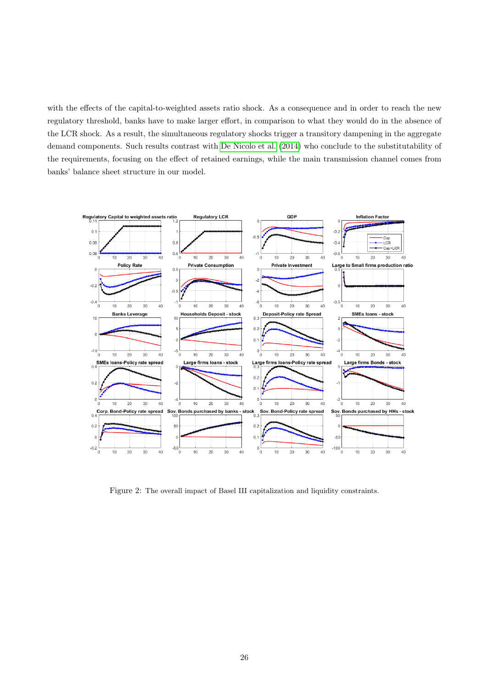with the effects of the capital-to-weighted assets ratio shock. As a consequence and in order to reach the new regulatory threshold, banks have to make larger effort, in comparison to what they would do in the absence of the LCR shock. As a result, the simultaneous regulatory shocks trigger a transitory dampening in the aggregate demand components. Such results contrast with [De Nicolo et al.](#page-31-6) [\(2014\)](#page-31-6) who conclude to the substitutability of the requirements, focusing on the effect of retained earnings, while the main transmission channel comes from banks' balance sheet structure in our model.

<span id="page-27-0"></span>

Figure 2: The overall impact of Basel III capitalization and liquidity constraints.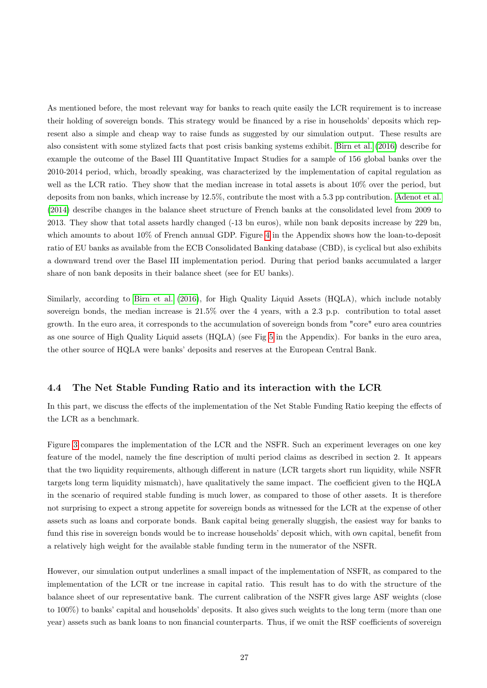As mentioned before, the most relevant way for banks to reach quite easily the LCR requirement is to increase their holding of sovereign bonds. This strategy would be financed by a rise in households' deposits which represent also a simple and cheap way to raise funds as suggested by our simulation output. These results are also consistent with some stylized facts that post crisis banking systems exhibit. [Birn et al.](#page-31-15) [\(2016\)](#page-31-15) describe for example the outcome of the Basel III Quantitative Impact Studies for a sample of 156 global banks over the 2010-2014 period, which, broadly speaking, was characterized by the implementation of capital regulation as well as the LCR ratio. They show that the median increase in total assets is about 10% over the period, but deposits from non banks, which increase by 12.5%, contribute the most with a 5.3 pp contribution. [Adenot et al.](#page-31-16) [\(2014\)](#page-31-16) describe changes in the balance sheet structure of French banks at the consolidated level from 2009 to 2013. They show that total assets hardly changed (-13 bn euros), while non bank deposits increase by 229 bn, which amounts to about  $10\%$  of French annual GDP. Figure [4](#page-34-0) in the Appendix shows how the loan-to-deposit ratio of EU banks as available from the ECB Consolidated Banking database (CBD), is cyclical but also exhibits a downward trend over the Basel III implementation period. During that period banks accumulated a larger share of non bank deposits in their balance sheet (see for EU banks).

Similarly, according to [Birn et al.](#page-31-15) [\(2016\)](#page-31-15), for High Quality Liquid Assets (HQLA), which include notably sovereign bonds, the median increase is 21.5% over the 4 years, with a 2.3 p.p. contribution to total asset growth. In the euro area, it corresponds to the accumulation of sovereign bonds from "core" euro area countries as one source of High Quality Liquid assets (HQLA) (see Fig [5](#page-34-1) in the Appendix). For banks in the euro area, the other source of HQLA were banks' deposits and reserves at the European Central Bank.

## <span id="page-28-0"></span>4.4 The Net Stable Funding Ratio and its interaction with the LCR

In this part, we discuss the effects of the implementation of the Net Stable Funding Ratio keeping the effects of the LCR as a benchmark.

Figure [3](#page-29-0) compares the implementation of the LCR and the NSFR. Such an experiment leverages on one key feature of the model, namely the fine description of multi period claims as described in section 2. It appears that the two liquidity requirements, although different in nature (LCR targets short run liquidity, while NSFR targets long term liquidity mismatch), have qualitatively the same impact. The coefficient given to the HQLA in the scenario of required stable funding is much lower, as compared to those of other assets. It is therefore not surprising to expect a strong appetite for sovereign bonds as witnessed for the LCR at the expense of other assets such as loans and corporate bonds. Bank capital being generally sluggish, the easiest way for banks to fund this rise in sovereign bonds would be to increase households' deposit which, with own capital, benefit from a relatively high weight for the available stable funding term in the numerator of the NSFR.

However, our simulation output underlines a small impact of the implementation of NSFR, as compared to the implementation of the LCR or tne increase in capital ratio. This result has to do with the structure of the balance sheet of our representative bank. The current calibration of the NSFR gives large ASF weights (close to 100%) to banks' capital and households' deposits. It also gives such weights to the long term (more than one year) assets such as bank loans to non financial counterparts. Thus, if we omit the RSF coefficients of sovereign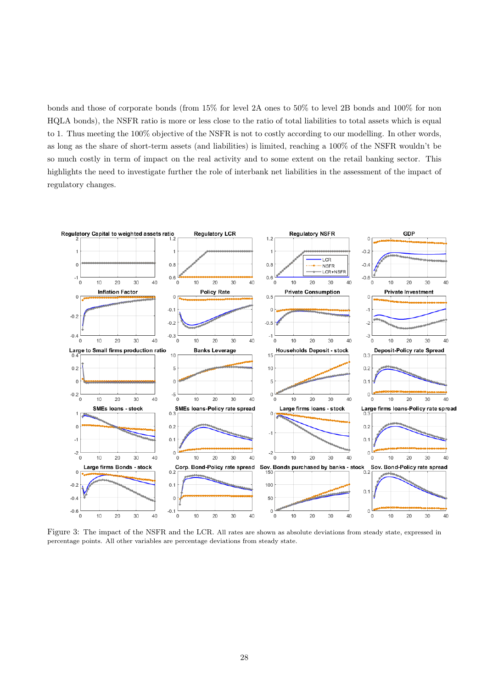bonds and those of corporate bonds (from 15% for level 2A ones to 50% to level 2B bonds and 100% for non HQLA bonds), the NSFR ratio is more or less close to the ratio of total liabilities to total assets which is equal to 1. Thus meeting the 100% objective of the NSFR is not to costly according to our modelling. In other words, as long as the share of short-term assets (and liabilities) is limited, reaching a 100% of the NSFR wouldn't be so much costly in term of impact on the real activity and to some extent on the retail banking sector. This highlights the need to investigate further the role of interbank net liabilities in the assessment of the impact of regulatory changes.

<span id="page-29-0"></span>

Figure 3: The impact of the NSFR and the LCR. All rates are shown as absolute deviations from steady state, expressed in percentage points. All other variables are percentage deviations from steady state.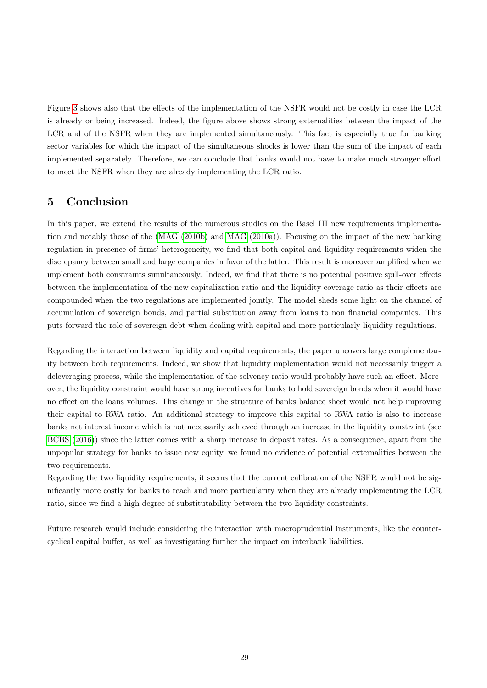Figure [3](#page-29-0) shows also that the effects of the implementation of the NSFR would not be costly in case the LCR is already or being increased. Indeed, the figure above shows strong externalities between the impact of the LCR and of the NSFR when they are implemented simultaneously. This fact is especially true for banking sector variables for which the impact of the simultaneous shocks is lower than the sum of the impact of each implemented separately. Therefore, we can conclude that banks would not have to make much stronger effort to meet the NSFR when they are already implementing the LCR ratio.

# <span id="page-30-0"></span>5 Conclusion

In this paper, we extend the results of the numerous studies on the Basel III new requirements implementation and notably those of the [\(MAG](#page-32-0) [\(2010b\)](#page-32-0) and [MAG](#page-32-1) [\(2010a\)](#page-32-1)). Focusing on the impact of the new banking regulation in presence of firms' heterogeneity, we find that both capital and liquidity requirements widen the discrepancy between small and large companies in favor of the latter. This result is moreover amplified when we implement both constraints simultaneously. Indeed, we find that there is no potential positive spill-over effects between the implementation of the new capitalization ratio and the liquidity coverage ratio as their effects are compounded when the two regulations are implemented jointly. The model sheds some light on the channel of accumulation of sovereign bonds, and partial substitution away from loans to non financial companies. This puts forward the role of sovereign debt when dealing with capital and more particularly liquidity regulations.

Regarding the interaction between liquidity and capital requirements, the paper uncovers large complementarity between both requirements. Indeed, we show that liquidity implementation would not necessarily trigger a deleveraging process, while the implementation of the solvency ratio would probably have such an effect. Moreover, the liquidity constraint would have strong incentives for banks to hold sovereign bonds when it would have no effect on the loans volumes. This change in the structure of banks balance sheet would not help improving their capital to RWA ratio. An additional strategy to improve this capital to RWA ratio is also to increase banks net interest income which is not necessarily achieved through an increase in the liquidity constraint (see [BCBS](#page-31-1) [\(2016\)](#page-31-1)) since the latter comes with a sharp increase in deposit rates. As a consequence, apart from the unpopular strategy for banks to issue new equity, we found no evidence of potential externalities between the two requirements.

Regarding the two liquidity requirements, it seems that the current calibration of the NSFR would not be significantly more costly for banks to reach and more particularity when they are already implementing the LCR ratio, since we find a high degree of substitutability between the two liquidity constraints.

Future research would include considering the interaction with macroprudential instruments, like the countercyclical capital buffer, as well as investigating further the impact on interbank liabilities.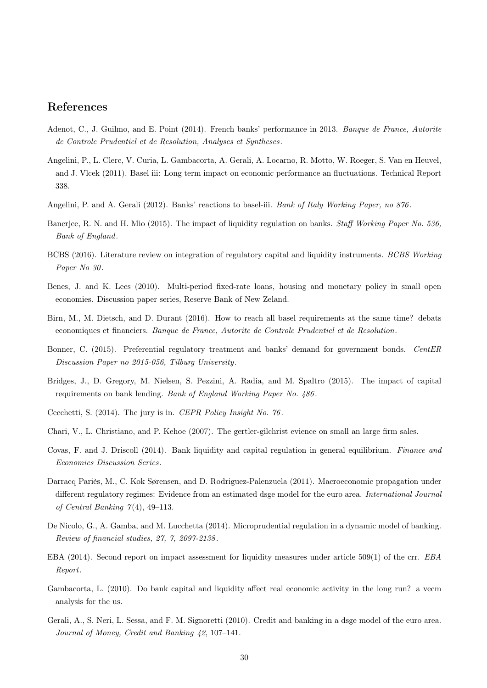# References

- <span id="page-31-16"></span>Adenot, C., J. Guilmo, and E. Point (2014). French banks' performance in 2013. Banque de France, Autorite de Controle Prudentiel et de Resolution, Analyses et Syntheses .
- <span id="page-31-2"></span>Angelini, P., L. Clerc, V. Curia, L. Gambacorta, A. Gerali, A. Locarno, R. Motto, W. Roeger, S. Van en Heuvel, and J. Vlcek (2011). Basel iii: Long term impact on economic performance an fluctuations. Technical Report 338.
- <span id="page-31-5"></span>Angelini, P. and A. Gerali (2012). Banks' reactions to basel-iii. Bank of Italy Working Paper, no 876.
- <span id="page-31-9"></span>Banerjee, R. N. and H. Mio (2015). The impact of liquidity regulation on banks. Staff Working Paper No. 536, Bank of England.
- <span id="page-31-1"></span>BCBS (2016). Literature review on integration of regulatory capital and liquidity instruments. BCBS Working Paper No 30.
- <span id="page-31-12"></span>Benes, J. and K. Lees (2010). Multi-period fixed-rate loans, housing and monetary policy in small open economies. Discussion paper series, Reserve Bank of New Zeland.
- <span id="page-31-15"></span>Birn, M., M. Dietsch, and D. Durant (2016). How to reach all basel requirements at the same time? debats economiques et financiers. Banque de France, Autorite de Controle Prudentiel et de Resolution.
- <span id="page-31-8"></span>Bonner, C. (2015). Preferential regulatory treatment and banks' demand for government bonds. CentER Discussion Paper no 2015-056, Tilburg University.
- <span id="page-31-3"></span>Bridges, J., D. Gregory, M. Nielsen, S. Pezzini, A. Radia, and M. Spaltro (2015). The impact of capital requirements on bank lending. Bank of England Working Paper No. 486 .
- <span id="page-31-0"></span>Cecchetti, S. (2014). The jury is in. CEPR Policy Insight No. 76 .
- <span id="page-31-11"></span>Chari, V., L. Christiano, and P. Kehoe (2007). The gertler-gilchrist evience on small an large firm sales.
- <span id="page-31-7"></span>Covas, F. and J. Driscoll (2014). Bank liquidity and capital regulation in general equilibrium. Finance and Economics Discussion Series.
- <span id="page-31-14"></span>Darracq Pariès, M., C. Kok Sørensen, and D. Rodriguez-Palenzuela (2011). Macroeconomic propagation under different regulatory regimes: Evidence from an estimated dsge model for the euro area. International Journal of Central Banking  $7(4)$ , 49-113.
- <span id="page-31-6"></span>De Nicolo, G., A. Gamba, and M. Lucchetta (2014). Microprudential regulation in a dynamic model of banking. Review of financial studies, 27, 7, 2097-2138 .
- <span id="page-31-10"></span>EBA (2014). Second report on impact assessment for liquidity measures under article 509(1) of the crr. EBA Report.
- <span id="page-31-13"></span>Gambacorta, L. (2010). Do bank capital and liquidity affect real economic activity in the long run? a vecm analysis for the us.
- <span id="page-31-4"></span>Gerali, A., S. Neri, L. Sessa, and F. M. Signoretti (2010). Credit and banking in a dsge model of the euro area. Journal of Money, Credit and Banking 42, 107–141.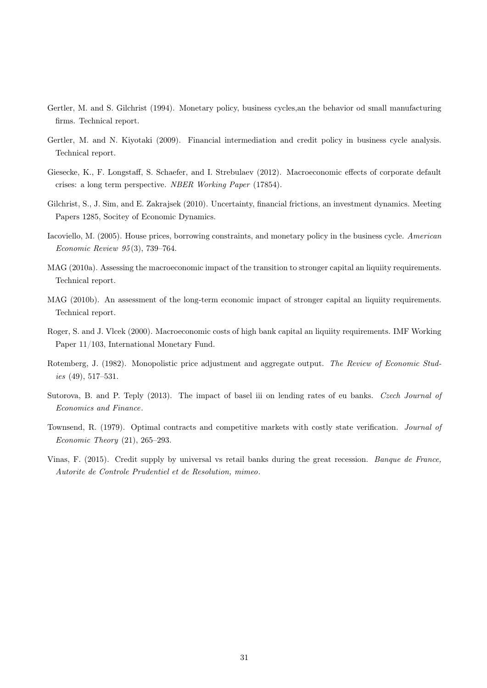- <span id="page-32-5"></span>Gertler, M. and S. Gilchrist (1994). Monetary policy, business cycles,an the behavior od small manufacturing firms. Technical report.
- <span id="page-32-11"></span>Gertler, M. and N. Kiyotaki (2009). Financial intermediation and credit policy in business cycle analysis. Technical report.
- <span id="page-32-7"></span>Giesecke, K., F. Longstaff, S. Schaefer, and I. Strebulaev (2012). Macroeconomic effects of corporate default crises: a long term perspective. NBER Working Paper (17854).
- <span id="page-32-6"></span>Gilchrist, S., J. Sim, and E. Zakrajsek (2010). Uncertainty, financial frictions, an investment dynamics. Meeting Papers 1285, Socitey of Economic Dynamics.
- <span id="page-32-4"></span>Iacoviello, M. (2005). House prices, borrowing constraints, and monetary policy in the business cycle. American Economic Review 95 (3), 739–764.
- <span id="page-32-1"></span>MAG (2010a). Assessing the macroeconomic impact of the transition to stronger capital an liquiity requirements. Technical report.
- <span id="page-32-0"></span>MAG (2010b). An assessment of the long-term economic impact of stronger capital an liquiity requirements. Technical report.
- <span id="page-32-3"></span>Roger, S. and J. Vlcek (2000). Macroeconomic costs of high bank capital an liquiity requirements. IMF Working Paper 11/103, International Monetary Fund.
- <span id="page-32-9"></span>Rotemberg, J. (1982). Monopolistic price adjustment and aggregate output. The Review of Economic Studies  $(49)$ , 517–531.
- <span id="page-32-2"></span>Sutorova, B. and P. Teply (2013). The impact of basel iii on lending rates of eu banks. Czech Journal of Economics and Finance.
- <span id="page-32-10"></span>Townsend, R. (1979). Optimal contracts and competitive markets with costly state verification. Journal of Economic Theory (21), 265–293.
- <span id="page-32-8"></span>Vinas, F. (2015). Credit supply by universal vs retail banks during the great recession. Banque de France, Autorite de Controle Prudentiel et de Resolution, mimeo.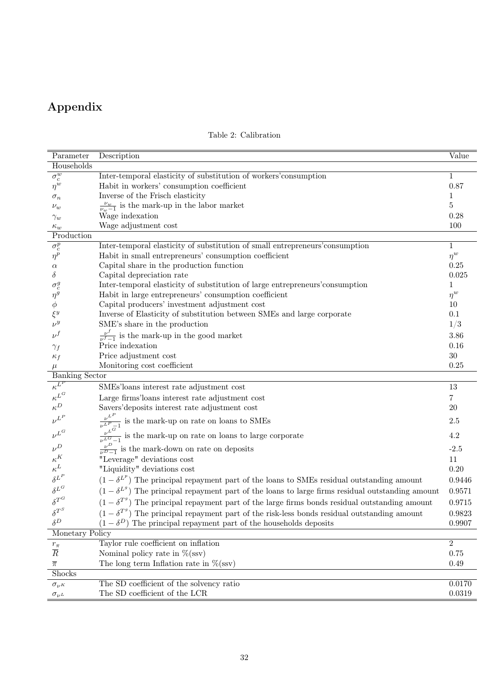# Appendix

<span id="page-33-0"></span>

| Parameter                   | Description                                                                                               | Value          |
|-----------------------------|-----------------------------------------------------------------------------------------------------------|----------------|
| Households                  |                                                                                                           |                |
| $\overline{\sigma_c^w}$     | Inter-temporal elasticity of substitution of workers' consumption                                         | $\mathbf{1}$   |
| $\eta^w$                    | Habit in workers' consumption coefficient                                                                 | 0.87           |
| $\sigma_n$                  | Inverse of the Frisch elasticity                                                                          | 1              |
| $\nu_w$                     | $\frac{\nu_w}{\nu_w-1}$ is the mark-up in the labor market                                                | 5              |
| $\gamma_w$                  | Wage indexation                                                                                           | 0.28           |
| $\kappa_w$                  | Wage adjustment cost                                                                                      | 100            |
| Production                  |                                                                                                           |                |
| $\sigma_c^p$                | Inter-temporal elasticity of substitution of small entrepreneurs' consumption                             | $\mathbf{1}$   |
| $\eta^p$                    | Habit in small entrepreneurs' consumption coefficient                                                     | $\eta^w$       |
| $\alpha$                    | Capital share in the production function                                                                  | 0.25           |
| $\delta$                    | Capital depreciation rate                                                                                 | 0.025          |
| $\sigma_c^g$                | Inter-temporal elasticity of substitution of large entrepreneurs' consumption                             | 1              |
| $\eta^g$                    | Habit in large entrepreneurs' consumption coefficient                                                     | $\eta^w$       |
| $\phi$                      | Capital producers' investment adjustment cost                                                             | 10             |
| $\xi^y$                     | Inverse of Elasticity of substitution between SMEs and large corporate                                    | 0.1            |
| $\nu^y$                     | SME's share in the production                                                                             | 1/3            |
| $\nu^f$                     | $\frac{\nu^f}{\nu^f-1}$ is the mark-up in the good market                                                 | 3.86           |
| $\gamma_f$                  | Price indexation                                                                                          | 0.16           |
| $\kappa_f$                  | Price adjustment cost                                                                                     | 30             |
| $\mu$                       | Monitoring cost coefficient                                                                               | 0.25           |
| <b>Banking Sector</b>       |                                                                                                           |                |
| $\kappa^{L^F}$              | SMEs'loans interest rate adjustment cost                                                                  | 13             |
| $\kappa^{L^G}$              | Large firms' loans interest rate adjustment cost                                                          | 7              |
| $\kappa^D$                  | Savers'deposits interest rate adjustment cost                                                             | 20             |
| $\nu^{L^P}$                 | $\frac{\nu^{L^P}}{\nu^{L^P}-1}$ is the mark-up on rate on loans to SMEs                                   | 2.5            |
| $\nu^{L^G}$                 | $\frac{\nu}{\nu^L}$ is the mark-up on rate on loans to large corporate                                    | 4.2            |
| $\nu^D$                     | $\frac{\nu^D}{\nu^D-1}$ is the mark-down on rate on deposits                                              | $-2.5$         |
| $\kappa^K$                  | "Leverage" deviations cost                                                                                | 11             |
| $\kappa^L$                  | "Liquidity" deviations cost                                                                               | $0.20\,$       |
| $\delta^{L^P}$              | $(1 - \delta^{L^p})$ The principal repayment part of the loans to SMEs residual outstanding amount        | 0.9446         |
| $\delta^{L^G}$              | $(1 - \delta^{L^g})$ The principal repayment part of the loans to large firms residual outstanding amount | 0.9571         |
| $\delta^{T^G}$              | $(1 - \delta^{T^g})$ The principal repayment part of the large firms bonds residual outstanding amount    | 0.9715         |
| $\boldsymbol{\delta}^{T^S}$ | $(1 - \delta^{T^g})$ The principal repayment part of the risk-less bonds residual outstanding amount      | 0.9823         |
| $\delta^D$                  | $(1 - \delta^D)$ The principal repayment part of the households deposits                                  | 0.9907         |
| Monetary Policy             |                                                                                                           |                |
| $r_\pi$                     | Taylor rule coefficient on inflation                                                                      | $\overline{2}$ |
| $\overline{R}$              | Nominal policy rate in $\%$ (ssv)                                                                         | 0.75           |
| $\overline{\pi}$            | The long term Inflation rate in $\%$ (ssv)                                                                | 0.49           |
| Shocks                      |                                                                                                           |                |
| $\sigma_{\nu^K}$            | The SD coefficient of the solvency ratio                                                                  | 0.0170         |
| $\sigma_{\nu^L}$            | The SD coefficient of the LCR                                                                             | 0.0319         |

## Table 2: Calibration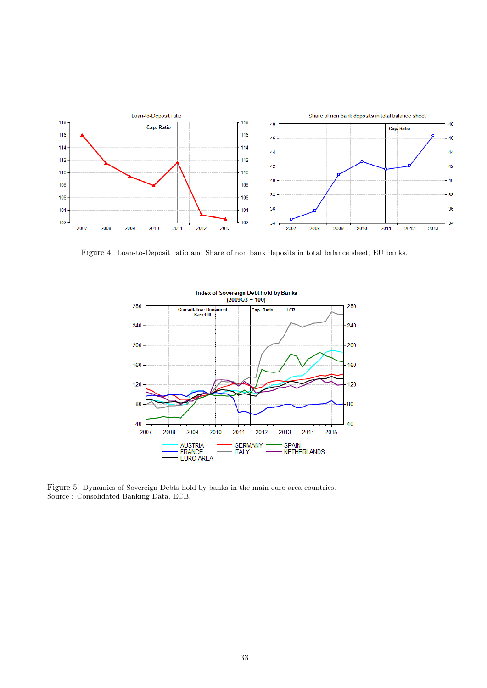<span id="page-34-0"></span>

<span id="page-34-1"></span>Figure 4: Loan-to-Deposit ratio and Share of non bank deposits in total balance sheet, EU banks.



Figure 5: Dynamics of Sovereign Debts hold by banks in the main euro area countries. Source : Consolidated Banking Data, ECB.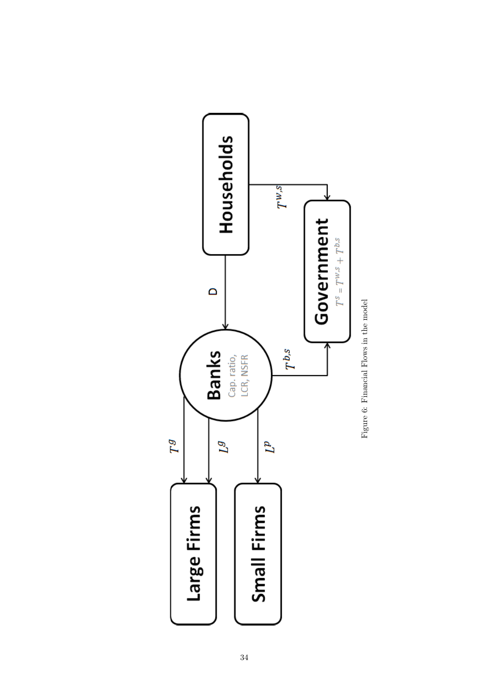<span id="page-35-0"></span>